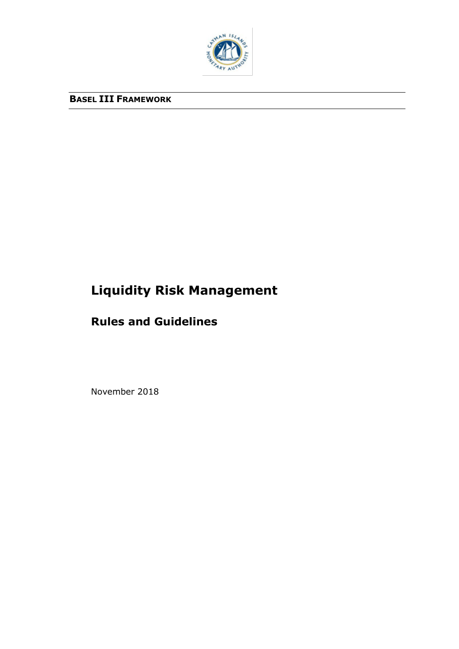

# **BASEL III FRAMEWORK**

# **Liquidity Risk Management**

# **Rules and Guidelines**

November 2018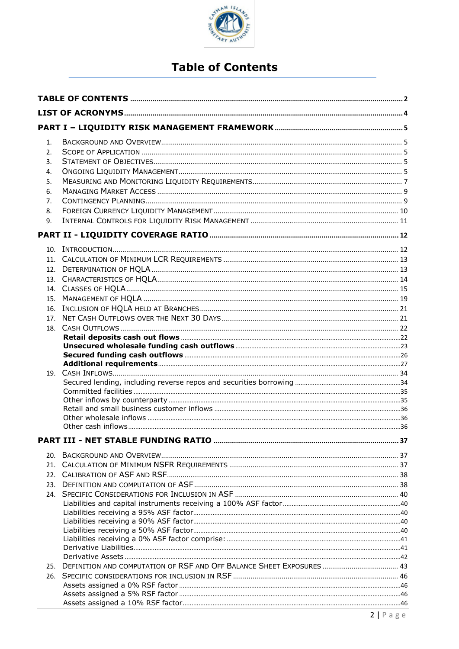

# **Table of Contents**

<span id="page-1-0"></span>

| 1.<br>2.<br>3.<br>4.<br>5.<br>6.<br>7.<br>8.<br>9. |  |
|----------------------------------------------------|--|
|                                                    |  |
| 10.<br>12.<br>18.                                  |  |
|                                                    |  |
| 20.<br>25.                                         |  |
| 26.                                                |  |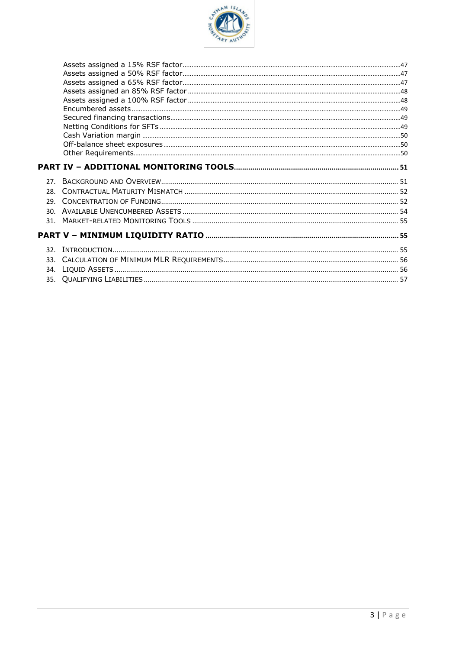

| 30  |  |
|-----|--|
| 31  |  |
|     |  |
|     |  |
| 32. |  |
|     |  |
| 34. |  |
|     |  |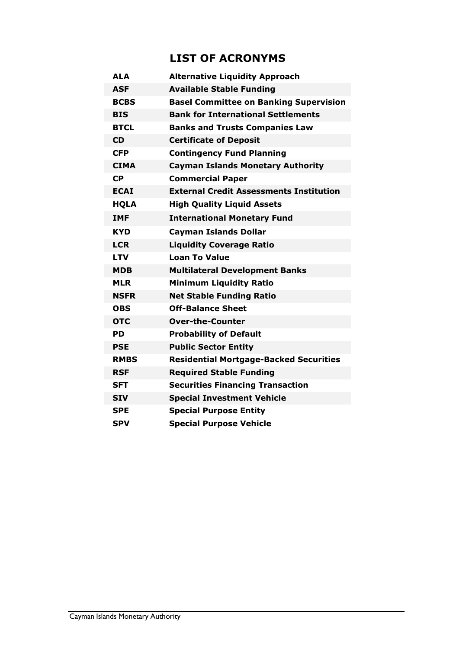# **LIST OF ACRONYMS**

<span id="page-3-0"></span>

| <b>ALA</b>  | <b>Alternative Liquidity Approach</b>          |
|-------------|------------------------------------------------|
| <b>ASF</b>  | <b>Available Stable Funding</b>                |
| <b>BCBS</b> | <b>Basel Committee on Banking Supervision</b>  |
| <b>BIS</b>  | <b>Bank for International Settlements</b>      |
| <b>BTCL</b> | <b>Banks and Trusts Companies Law</b>          |
| <b>CD</b>   | <b>Certificate of Deposit</b>                  |
| <b>CFP</b>  | <b>Contingency Fund Planning</b>               |
| <b>CIMA</b> | <b>Cayman Islands Monetary Authority</b>       |
| <b>CP</b>   | <b>Commercial Paper</b>                        |
| <b>ECAI</b> | <b>External Credit Assessments Institution</b> |
| <b>HQLA</b> | <b>High Quality Liquid Assets</b>              |
| <b>IMF</b>  | <b>International Monetary Fund</b>             |
| KYD         | <b>Cayman Islands Dollar</b>                   |
| <b>LCR</b>  | <b>Liquidity Coverage Ratio</b>                |
| <b>LTV</b>  | <b>Loan To Value</b>                           |
| MDB         | <b>Multilateral Development Banks</b>          |
| <b>MLR</b>  | <b>Minimum Liquidity Ratio</b>                 |
| <b>NSFR</b> | <b>Net Stable Funding Ratio</b>                |
| <b>OBS</b>  | <b>Off-Balance Sheet</b>                       |
| <b>OTC</b>  | <b>Over-the-Counter</b>                        |
| PD.         | <b>Probability of Default</b>                  |
| <b>PSE</b>  | <b>Public Sector Entity</b>                    |
| <b>RMBS</b> | <b>Residential Mortgage-Backed Securities</b>  |
| <b>RSF</b>  | <b>Required Stable Funding</b>                 |
| <b>SFT</b>  | <b>Securities Financing Transaction</b>        |
| <b>SIV</b>  | <b>Special Investment Vehicle</b>              |
| <b>SPE</b>  | <b>Special Purpose Entity</b>                  |
| SPV         | <b>Special Purpose Vehicle</b>                 |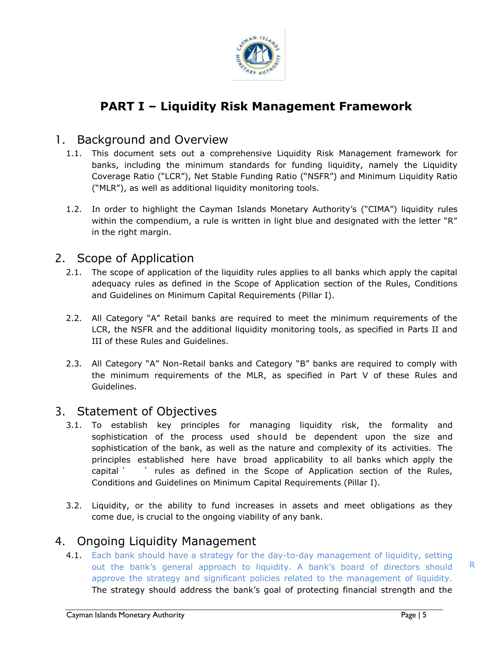

# **PART I – Liquidity Risk Management Framework**

### <span id="page-4-0"></span>1. Background and Overview

- <span id="page-4-1"></span>1.1. This document sets out a comprehensive Liquidity Risk Management framework for banks, including the minimum standards for funding liquidity, namely the Liquidity Coverage Ratio ("LCR"), Net Stable Funding Ratio ("NSFR") and Minimum Liquidity Ratio ("MLR"), as well as additional liquidity monitoring tools.
- 1.2. In order to highlight the Cayman Islands Monetary Authority's ("CIMA") liquidity rules within the compendium, a rule is written in light blue and designated with the letter "R" in the right margin.

### 2. Scope of Application

- 2.1. The scope of application of the liquidity rules applies to all banks which apply the capital adequacy rules as defined in the Scope of Application section of the Rules, Conditions and Guidelines on Minimum Capital Requirements (Pillar I).
- <span id="page-4-2"></span>2.2. All Category "A" Retail banks are required to meet the minimum requirements of the LCR, the NSFR and the additional liquidity monitoring tools, as specified in Parts II and III of these Rules and Guidelines.
- 2.3. All Category "A" Non-Retail banks and Category "B" banks are required to comply with the minimum requirements of the MLR, as specified in Part V of these Rules and Guidelines.

### 3. Statement of Objectives

- <span id="page-4-3"></span>3.1. To establish key principles for managing liquidity risk, the formality and sophistication of the process used should be dependent upon the size and sophistication of the bank, as well as the nature and complexity of its activities. The principles established here have broad applicability to all banks which apply the capital ` ` rules as defined in the Scope of Application section of the Rules, Conditions and Guidelines on Minimum Capital Requirements (Pillar I).
- 3.2. Liquidity, or the ability to fund increases in assets and meet obligations as they come due, is crucial to the ongoing viability of any bank.

# 4. Ongoing Liquidity Management

<span id="page-4-4"></span>4.1. Each bank should have a strategy for the day-to-day management of liquidity, setting out the bank's general approach to liquidity. A bank's board of directors should approve the strategy and significant policies related to the management of liquidity. The strategy should address the bank's goal of protecting financial strength and the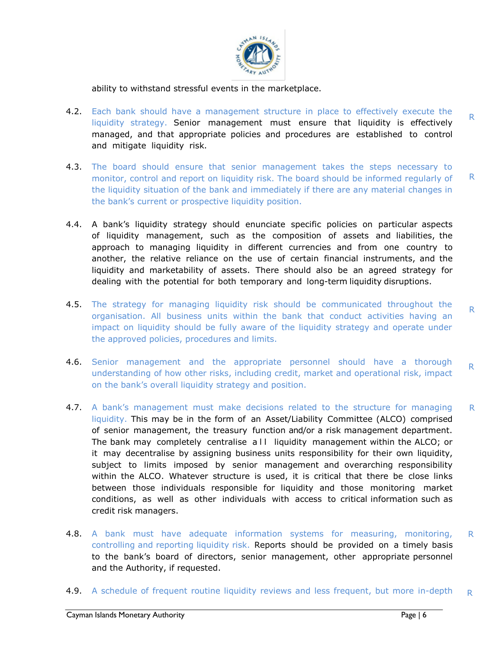

ability to withstand stressful events in the marketplace.

- 4.2. Each bank should have a management structure in place to effectively execute the liquidity strategy. Senior management must ensure that liquidity is effectively managed, and that appropriate policies and procedures are established to control and mitigate liquidity risk. R
- 4.3. The board should ensure that senior management takes the steps necessary to monitor, control and report on liquidity risk. The board should be informed regularly of the liquidity situation of the bank and immediately if there are any material changes in the bank's current or prospective liquidity position. R
- 4.4. A bank's liquidity strategy should enunciate specific policies on particular aspects of liquidity management, such as the composition of assets and liabilities, the approach to managing liquidity in different currencies and from one country to another, the relative reliance on the use of certain financial instruments, and the liquidity and marketability of assets. There should also be an agreed strategy for dealing with the potential for both temporary and long-term liquidity disruptions.
- the approved policies, procedures and limits. 4.5. The strategy for managing liquidity risk should be communicated throughout the organisation. All business units within the bank that conduct activities having an impact on liquidity should be fully aware of the liquidity strategy and operate under R
- 4.6. Senior management and the appropriate personnel should have a thorough understanding of how other risks, including credit, market and operational risk, impact on the bank's overall liquidity strategy and position. R
- 4.7. A bank's management must make decisions related to the structure for managing liquidity. This may be in the form of an Asset/Liability Committee (ALCO) comprised of senior management, the treasury function and/or a risk management department. The bank may completely centralise a II liquidity management within the ALCO; or it may decentralise by assigning business units responsibility for their own liquidity, subject to limits imposed by senior management and overarching responsibility within the ALCO. Whatever structure is used, it is critical that there be close links between those individuals responsible for liquidity and those monitoring market conditions, as well as other individuals with access to critical information such as credit risk managers. R
- 4.8. A bank must have adequate information systems for measuring, monitoring, controlling and reporting liquidity risk. Reports should be provided on a timely basis to the bank's board of directors, senior management, other appropriate personnel and the Authority, if requested. R
- 4.9. A schedule of frequent routine liquidity reviews and less frequent, but more in-depth R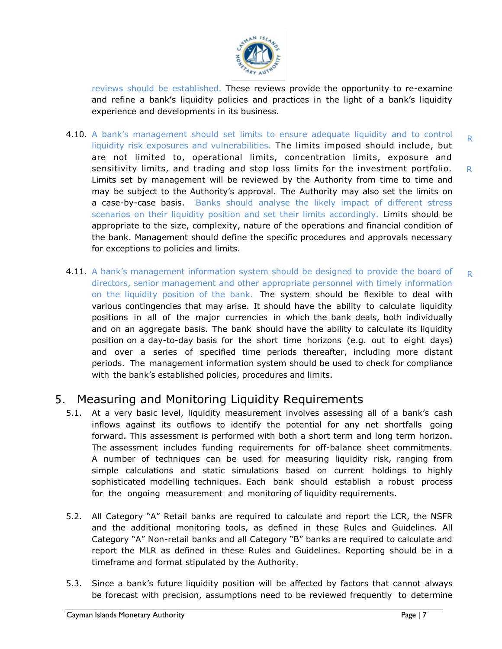

reviews should be established. These reviews provide the opportunity to re-examine and refine a bank's liquidity policies and practices in the light of a bank's liquidity experience and developments in its business.

- 4.10. A bank's management should set limits to ensure adequate liquidity and to control liquidity risk exposures and vulnerabilities. The limits imposed should include, but are not limited to, operational limits, concentration limits, exposure and sensitivity limits, and trading and stop loss limits for the investment portfolio. Limits set by management will be reviewed by the Authority from time to time and may be subject to the Authority's approval. The Authority may also set the limits on a case-by-case basis. Banks should analyse the likely impact of different stress scenarios on their liquidity position and set their limits accordingly. Limits should be appropriate to the size, complexity, nature of the operations and financial condition of the bank. Management should define the specific procedures and approvals necessary for exceptions to policies and limits. R R
- position on a day-to-day basis for the short time horizons (e.g. out to eight days) 4.11. A bank's management information system should be designed to provide the board of directors, senior management and other appropriate personnel with timely information on the liquidity position of the bank. The system should be flexible to deal with various contingencies that may arise. It should have the ability to calculate liquidity positions in all of the major currencies in which the bank deals, both individually and on an aggregate basis. The bank should have the ability to calculate its liquidity and over a series of specified time periods thereafter, including more distant periods. The management information system should be used to check for compliance with the bank's established policies, procedures and limits. R

# 5. Measuring and Monitoring Liquidity Requirements

- <span id="page-6-0"></span>5.1. At a very basic level, liquidity measurement involves assessing all of a bank's cash inflows against its outflows to identify the potential for any net shortfalls going forward. This assessment is performed with both a short term and long term horizon. The assessment includes funding requirements for off-balance sheet commitments. A number of techniques can be used for measuring liquidity risk, ranging from simple calculations and static simulations based on current holdings to highly sophisticated modelling techniques. Each bank should establish a robust process for the ongoing measurement and monitoring of liquidity requirements.
- 5.2. All Category "A" Retail banks are required to calculate and report the LCR, the NSFR and the additional monitoring tools, as defined in these Rules and Guidelines. All Category "A" Non-retail banks and all Category "B" banks are required to calculate and report the MLR as defined in these Rules and Guidelines. Reporting should be in a timeframe and format stipulated by the Authority.
- 5.3. Since a bank's future liquidity position will be affected by factors that cannot always be forecast with precision, assumptions need to be reviewed frequently to determine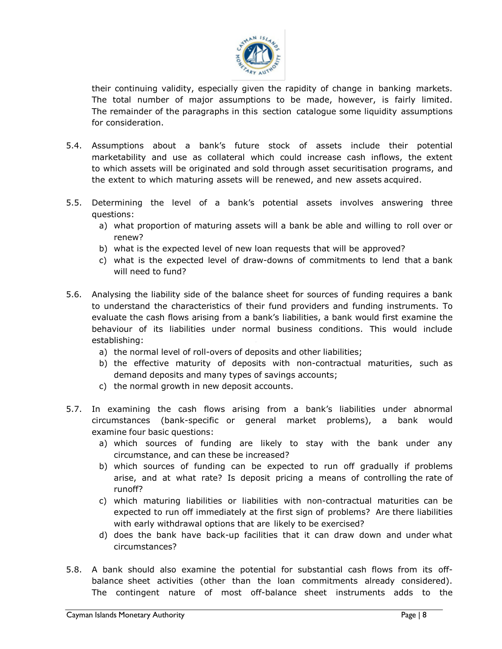

their continuing validity, especially given the rapidity of change in banking markets. The total number of major assumptions to be made, however, is fairly limited. The remainder of the paragraphs in this section catalogue some liquidity assumptions for consideration.

- 5.4. Assumptions about a bank's future stock of assets include their potential marketability and use as collateral which could increase cash inflows, the extent to which assets will be originated and sold through asset securitisation programs, and the extent to which maturing assets will be renewed, and new assets acquired.
- 5.5. Determining the level of a bank's potential assets involves answering three questions:
	- a) what proportion of maturing assets will a bank be able and willing to roll over or renew?
	- b) what is the expected level of new loan requests that will be approved?
	- c) what is the expected level of draw-downs of commitments to lend that a bank will need to fund?
- 5.6. Analysing the liability side of the balance sheet for sources of funding requires a bank to understand the characteristics of their fund providers and funding instruments. To evaluate the cash flows arising from a bank's liabilities, a bank would first examine the behaviour of its liabilities under normal business conditions. This would include establishing:
	- a) the normal level of roll-overs of deposits and other liabilities;
	- b) the effective maturity of deposits with non-contractual maturities, such as demand deposits and many types of savings accounts;
	- c) the normal growth in new deposit accounts.
- 5.7. In examining the cash flows arising from a bank's liabilities under abnormal circumstances (bank-specific or general market problems), a bank would examine four basic questions:
	- a) which sources of funding are likely to stay with the bank under any circumstance, and can these be increased?
	- b) which sources of funding can be expected to run off gradually if problems arise, and at what rate? Is deposit pricing a means of controlling the rate of runoff?
	- c) which maturing liabilities or liabilities with non-contractual maturities can be expected to run off immediately at the first sign of problems? Are there liabilities with early withdrawal options that are likely to be exercised?
	- d) does the bank have back-up facilities that it can draw down and under what circumstances?
- 5.8. A bank should also examine the potential for substantial cash flows from its offbalance sheet activities (other than the loan commitments already considered). The contingent nature of most off-balance sheet instruments adds to the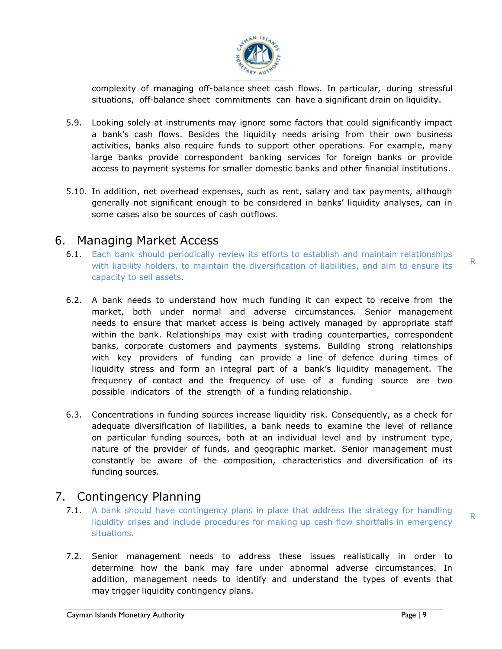

complexity of managing off-balance sheet cash flows. In particular, during stressful situations, off-balance sheet commitments can have a significant drain on liquidity.

- 5.9. Looking solely at instruments may ignore some factors that could significantly impact a bank's cash flows. Besides the liquidity needs arising from their own business activities, banks also require funds to support other operations. For example, many large banks provide correspondent banking services for foreign banks or provide access to payment systems for smaller domestic banks and other financial institutions.
- 5.10. In addition, net overhead expenses, such as rent, salary and tax payments, although generally not significant enough to be considered in banks' liquidity analyses, can in some cases also be sources of cash outflows.

### 6. Managing Market Access

- 6.1. Each bank should periodically review its efforts to establish and maintain relationships with liability holders, to maintain the diversification of liabilities, and aim to ensure its capacity to sell assets.
- <span id="page-8-0"></span>banks, corporate customers and payments systems. Building strong relationships 6.2. A bank needs to understand how much funding it can expect to receive from the market, both under normal and adverse circumstances. Senior management needs to ensure that market access is being actively managed by appropriate staff within the bank. Relationships may exist with trading counterparties, correspondent with key providers of funding can provide a line of defence during times of liquidity stress and form an integral part of a bank's liquidity management. The frequency of contact and the frequency of use of a funding source are two possible indicators of the strength of a funding relationship.
- 6.3. Concentrations in funding sources increase liquidity risk. Consequently, as a check for adequate diversification of liabilities, a bank needs to examine the level of reliance on particular funding sources, both at an individual level and by instrument type, nature of the provider of funds, and geographic market. Senior management must constantly be aware of the composition, characteristics and diversification of its funding sources.

# 7. Contingency Planning

- 7.1. A bank should have contingency plans in place that address the strategy for handling liquidity crises and include procedures for making up cash flow shortfalls in emergency situations.
- <span id="page-8-1"></span>7.2. Senior management needs to address these issues realistically in order to determine how the bank may fare under abnormal adverse circumstances. In addition, management needs to identify and understand the types of events that may trigger liquidity contingency plans.

R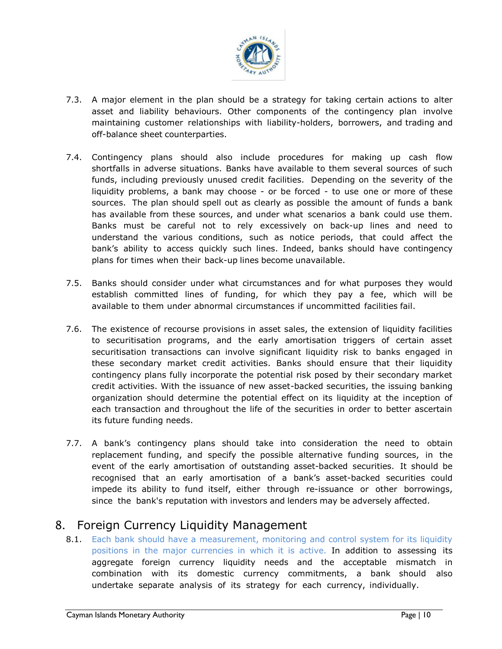

- <span id="page-9-0"></span>7.3. A major element in the plan should be a strategy for taking certain actions to alter asset and liability behaviours. Other components of the contingency plan involve maintaining customer relationships with liability-holders, borrowers, and trading and off-balance sheet counterparties.
- 7.4. Contingency plans should also include procedures for making up cash flow shortfalls in adverse situations. Banks have available to them several sources of such funds, including previously unused credit facilities. Depending on the severity of the liquidity problems, a bank may choose - or be forced - to use one or more of these sources. The plan should spell out as clearly as possible the amount of funds a bank has available from these sources, and under what scenarios a bank could use them. Banks must be careful not to rely excessively on back-up lines and need to understand the various conditions, such as notice periods, that could affect the bank's ability to access quickly such lines. Indeed, banks should have contingency plans for times when their back-up lines become unavailable.
- 7.5. Banks should consider under what circumstances and for what purposes they would establish committed lines of funding, for which they pay a fee, which will be available to them under abnormal circumstances if uncommitted facilities fail.
- to securitisation programs, and the early amortisation triggers of certain asset 7.6. The existence of recourse provisions in asset sales, the extension of liquidity facilities securitisation transactions can involve significant liquidity risk to banks engaged in these secondary market credit activities. Banks should ensure that their liquidity contingency plans fully incorporate the potential risk posed by their secondary market credit activities. With the issuance of new asset-backed securities, the issuing banking organization should determine the potential effect on its liquidity at the inception of each transaction and throughout the life of the securities in order to better ascertain its future funding needs.
- 7.7. A bank's contingency plans should take into consideration the need to obtain replacement funding, and specify the possible alternative funding sources, in the event of the early amortisation of outstanding asset-backed securities. It should be recognised that an early amortisation of a bank's asset-backed securities could impede its ability to fund itself, either through re-issuance or other borrowings, since the bank's reputation with investors and lenders may be adversely affected.

# 8. Foreign Currency Liquidity Management

8.1. Each bank should have a measurement, monitoring and control system for its liquidity positions in the major currencies in which it is active. In addition to assessing its aggregate foreign currency liquidity needs and the acceptable mismatch in combination with its domestic currency commitments, a bank should also undertake separate analysis of its strategy for each currency, individually.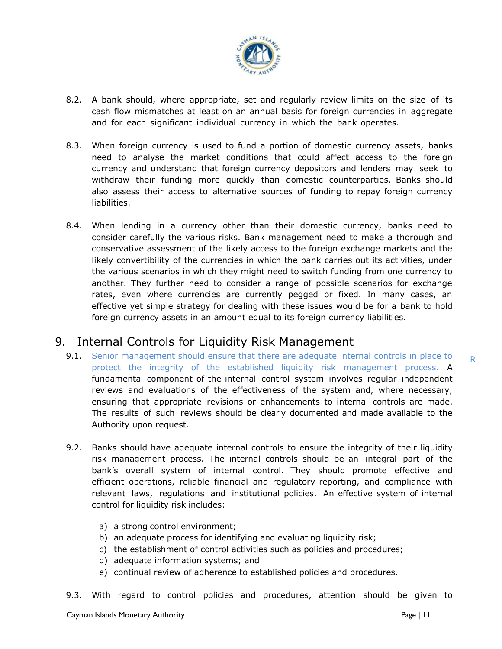

- 8.2. A bank should, where appropriate, set and regularly review limits on the size of its cash flow mismatches at least on an annual basis for foreign currencies in aggregate and for each significant individual currency in which the bank operates.
- 8.3. When foreign currency is used to fund a portion of domestic currency assets, banks need to analyse the market conditions that could affect access to the foreign currency and understand that foreign currency depositors and lenders may seek to withdraw their funding more quickly than domestic counterparties. Banks should also assess their access to alternative sources of funding to repay foreign currency liabilities.
- 8.4. When lending in a currency other than their domestic currency, banks need to consider carefully the various risks. Bank management need to make a thorough and conservative assessment of the likely access to the foreign exchange markets and the likely convertibility of the currencies in which the bank carries out its activities, under the various scenarios in which they might need to switch funding from one currency to another. They further need to consider a range of possible scenarios for exchange rates, even where currencies are currently pegged or fixed. In many cases, an effective yet simple strategy for dealing with these issues would be for a bank to hold foreign currency assets in an amount equal to its foreign currency liabilities.

# 9. Internal Controls for Liquidity Risk Management

- <span id="page-10-0"></span>9.1. Senior management should ensure that there are adequate internal controls in place to protect the integrity of the established liquidity risk management process. A fundamental component of the internal control system involves regular independent reviews and evaluations of the effectiveness of the system and, where necessary, ensuring that appropriate revisions or enhancements to internal controls are made. The results of such reviews should be clearly documented and made available to the Authority upon request.
- 9.2. Banks should have adequate internal controls to ensure the integrity of their liquidity risk management process. The internal controls should be an integral part of the bank's overall system of internal control. They should promote effective and efficient operations, reliable financial and regulatory reporting, and compliance with relevant laws, regulations and institutional policies. An effective system of internal control for liquidity risk includes:
	- a) a strong control environment;
	- b) an adequate process for identifying and evaluating liquidity risk;
	- c) the establishment of control activities such as policies and procedures;
	- d) adequate information systems; and
	- e) continual review of adherence to established policies and procedures.
- 9.3. With regard to control policies and procedures, attention should be given to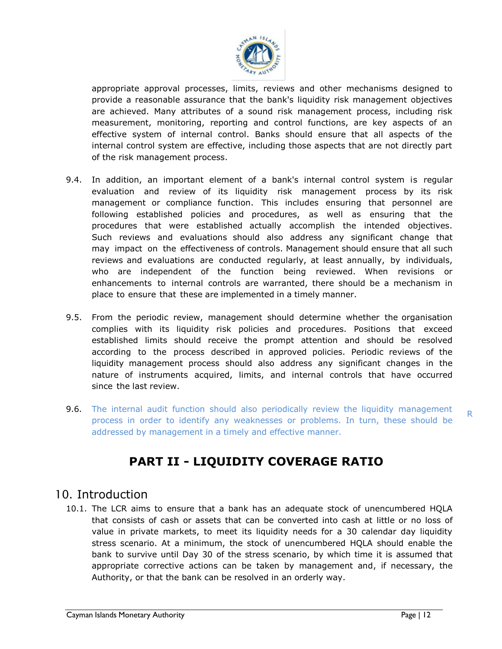

appropriate approval processes, limits, reviews and other mechanisms designed to provide a reasonable assurance that the bank's liquidity risk management objectives are achieved. Many attributes of a sound risk management process, including risk measurement, monitoring, reporting and control functions, are key aspects of an effective system of internal control. Banks should ensure that all aspects of the internal control system are effective, including those aspects that are not directly part of the risk management process.

- 9.4. In addition, an important element of a bank's internal control system is regular evaluation and review of its liquidity risk management process by its risk management or compliance function. This includes ensuring that personnel are following established policies and procedures, as well as ensuring that the procedures that were established actually accomplish the intended objectives. Such reviews and evaluations should also address any significant change that may impact on the effectiveness of controls. Management should ensure that all such reviews and evaluations are conducted regularly, at least annually, by individuals, who are independent of the function being reviewed. When revisions or enhancements to internal controls are warranted, there should be a mechanism in place to ensure that these are implemented in a timely manner.
- established limits should receive the prompt attention and should be resolved 9.5. From the periodic review, management should determine whether the organisation complies with its liquidity risk policies and procedures. Positions that exceed according to the process described in approved policies. Periodic reviews of the liquidity management process should also address any significant changes in the nature of instruments acquired, limits, and internal controls that have occurred since the last review.
- 9.6. The internal audit function should also periodically review the liquidity management process in order to identify any weaknesses or problems. In turn, these should be addressed by management in a timely and effective manner.

# **PART II - LIQUIDITY COVERAGE RATIO**

# <span id="page-11-0"></span>10. Introduction

<span id="page-11-1"></span>10.1. The LCR aims to ensure that a bank has an adequate stock of unencumbered HQLA that consists of cash or assets that can be converted into cash at little or no loss of value in private markets, to meet its liquidity needs for a 30 calendar day liquidity stress scenario. At a minimum, the stock of unencumbered HQLA should enable the bank to survive until Day 30 of the stress scenario, by which time it is assumed that appropriate corrective actions can be taken by management and, if necessary, the Authority, or that the bank can be resolved in an orderly way.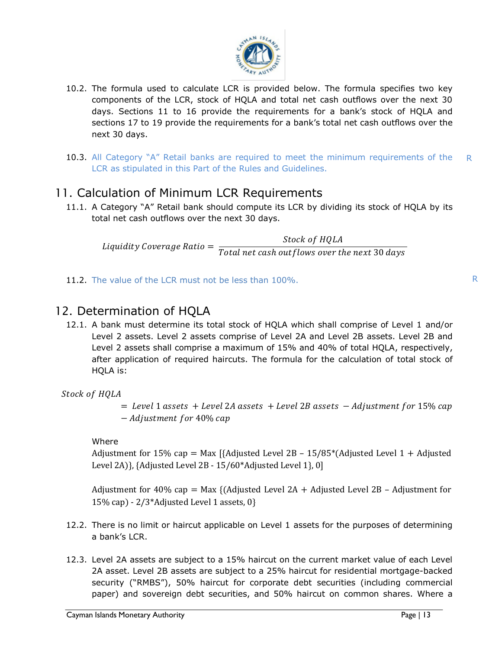

- 10.2. The formula used to calculate LCR is provided below. The formula specifies two key components of the LCR, stock of HQLA and total net cash outflows over the next 30 days. Sections 11 to 16 provide the requirements for a bank's stock of HQLA and sections 17 to 19 provide the requirements for a bank's total net cash outflows over the next 30 days.
- 10.3. All Category "A" Retail banks are required to meet the minimum requirements of the LCR as stipulated in this Part of the Rules and Guidelines. R

# 11. Calculation of Minimum LCR Requirements

<span id="page-12-0"></span>11.1. A Category "A" Retail bank should compute its LCR by dividing its stock of HQLA by its total net cash outflows over the next 30 days.

Liquidity Coverage Ratio = Stock of HQLA Total net cash outflows over the next 30 days

11.2. The value of the LCR must not be less than 100%.

# 12. Determination of HQLA

<span id="page-12-1"></span>12.1. A bank must determine its total stock of HQLA which shall comprise of Level 1 and/or Level 2 assets. Level 2 assets comprise of Level 2A and Level 2B assets. Level 2B and Level 2 assets shall comprise a maximum of 15% and 40% of total HQLA, respectively, after application of required haircuts. The formula for the calculation of total stock of HQLA is:

Stock of HQLA

 $=$  Level 1 assets  $+$  Level 2A assets  $+$  Level 2B assets  $-$  Adjustment for 15% cap − Adjustment for 40% cap

#### Where

Adjustment for 15% cap = Max [{Adjusted Level 2B – 15/85 $*($ Adjusted Level 1 + Adjusted Level 2A)}, {Adjusted Level 2B - 15/60\*Adjusted Level 1}, 0]

Adjustment for 40% cap = Max {(Adjusted Level  $2A +$  Adjusted Level  $2B -$  Adjustment for 15% cap) - 2/3\*Adjusted Level 1 assets, 0}

- 12.2. There is no limit or haircut applicable on Level 1 assets for the purposes of determining a bank's LCR.
- 12.3. Level 2A assets are subject to a 15% haircut on the current market value of each Level 2A asset. Level 2B assets are subject to a 25% haircut for residential mortgage-backed security ("RMBS"), 50% haircut for corporate debt securities (including commercial paper) and sovereign debt securities, and 50% haircut on common shares. Where a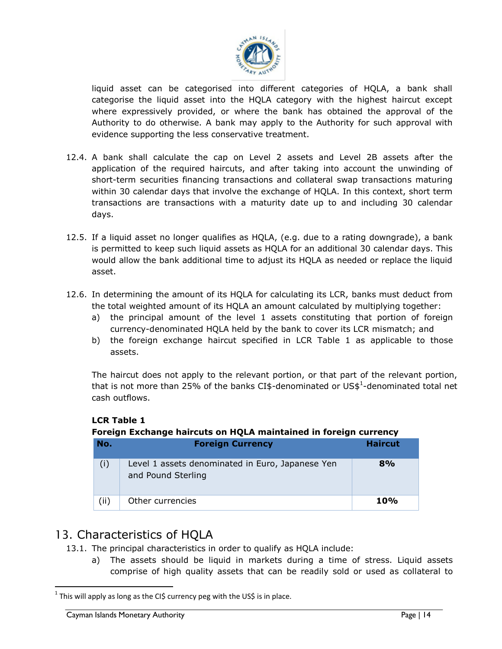

liquid asset can be categorised into different categories of HQLA, a bank shall categorise the liquid asset into the HQLA category with the highest haircut except where expressively provided, or where the bank has obtained the approval of the Authority to do otherwise. A bank may apply to the Authority for such approval with evidence supporting the less conservative treatment.

- 12.4. A bank shall calculate the cap on Level 2 assets and Level 2B assets after the application of the required haircuts, and after taking into account the unwinding of short-term securities financing transactions and collateral swap transactions maturing within 30 calendar days that involve the exchange of HQLA. In this context, short term transactions are transactions with a maturity date up to and including 30 calendar days.
- 12.5. If a liquid asset no longer qualifies as HQLA, (e.g. due to a rating downgrade), a bank is permitted to keep such liquid assets as HQLA for an additional 30 calendar days. This would allow the bank additional time to adjust its HQLA as needed or replace the liquid asset.
- 12.6. In determining the amount of its HQLA for calculating its LCR, banks must deduct from the total weighted amount of its HQLA an amount calculated by multiplying together:
	- a) the principal amount of the level 1 assets constituting that portion of foreign currency-denominated HQLA held by the bank to cover its LCR mismatch; and
	- b) the foreign exchange haircut specified in LCR Table 1 as applicable to those assets.

The haircut does not apply to the relevant portion, or that part of the relevant portion, that is not more than 25% of the banks CI\$-denominated or US\$<sup>1</sup>-denominated total net cash outflows.

**LCR Table 1**

#### **Foreign Exchange haircuts on HQLA maintained in foreign currency**

| No.  | <b>Foreign Currency</b>                                                | <b>Haircut</b> |
|------|------------------------------------------------------------------------|----------------|
| (i)  | Level 1 assets denominated in Euro, Japanese Yen<br>and Pound Sterling | 8%             |
| (ii) | Other currencies                                                       | <b>10%</b>     |

# 13. Characteristics of HQLA

- 13.1. The principal characteristics in order to qualify as HQLA include:
	- a) The assets should be liquid in markets during a time of stress. Liquid assets comprise of high quality assets that can be readily sold or used as collateral to

<span id="page-13-0"></span> $\overline{a}$ 

<sup>&</sup>lt;sup>1</sup> This will apply as long as the CI\$ currency peg with the US\$ is in place.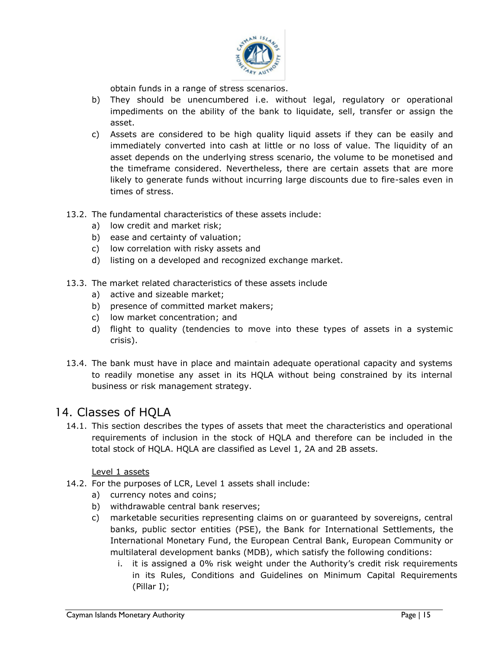

obtain funds in a range of stress scenarios.

- b) They should be unencumbered i.e. without legal, regulatory or operational impediments on the ability of the bank to liquidate, sell, transfer or assign the asset.
- c) Assets are considered to be high quality liquid assets if they can be easily and immediately converted into cash at little or no loss of value. The liquidity of an asset depends on the underlying stress scenario, the volume to be monetised and the timeframe considered. Nevertheless, there are certain assets that are more likely to generate funds without incurring large discounts due to fire-sales even in times of stress.
- 13.2. The fundamental characteristics of these assets include:
	- a) low credit and market risk;
	- b) ease and certainty of valuation;
	- c) low correlation with risky assets and
	- d) listing on a developed and recognized exchange market.
- 13.3. The market related characteristics of these assets include
	- a) active and sizeable market;
	- b) presence of committed market makers;
	- c) low market concentration; and
	- d) flight to quality (tendencies to move into these types of assets in a systemic crisis).
- 13.4. The bank must have in place and maintain adequate operational capacity and systems to readily monetise any asset in its HQLA without being constrained by its internal business or risk management strategy.

# 14. Classes of HQLA

<span id="page-14-0"></span>14.1. This section describes the types of assets that meet the characteristics and operational requirements of inclusion in the stock of HQLA and therefore can be included in the total stock of HQLA. HQLA are classified as Level 1, 2A and 2B assets.

Level 1 assets

- 14.2. For the purposes of LCR, Level 1 assets shall include:
	- a) currency notes and coins;
	- b) withdrawable central bank reserves;
	- c) marketable securities representing claims on or guaranteed by sovereigns, central banks, public sector entities (PSE), the Bank for International Settlements, the International Monetary Fund, the European Central Bank, European Community or multilateral development banks (MDB), which satisfy the following conditions:
		- i. it is assigned a 0% risk weight under the Authority's credit risk requirements in its Rules, Conditions and Guidelines on Minimum Capital Requirements (Pillar I);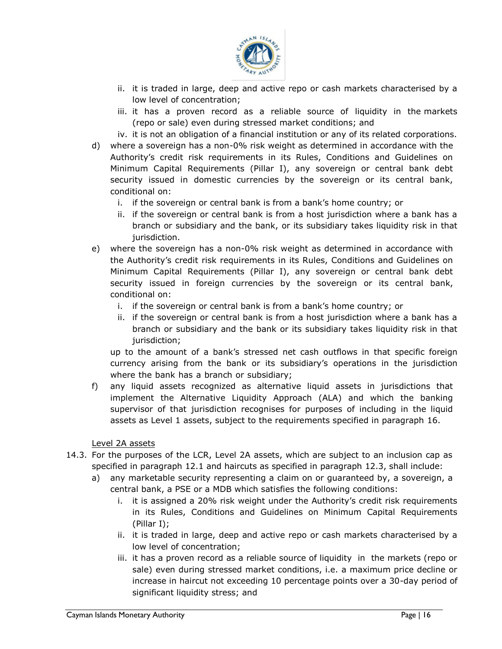

- ii. it is traded in large, deep and active repo or cash markets characterised by a low level of concentration;
- iii. it has a proven record as a reliable source of liquidity in the markets (repo or sale) even during stressed market conditions; and

iv. it is not an obligation of a financial institution or any of its related corporations.

- d) where a sovereign has a non-0% risk weight as determined in accordance with the Authority's credit risk requirements in its Rules, Conditions and Guidelines on Minimum Capital Requirements (Pillar I), any sovereign or central bank debt security issued in domestic currencies by the sovereign or its central bank, conditional on:
	- i. if the sovereign or central bank is from a bank's home country; or
	- ii. if the sovereign or central bank is from a host jurisdiction where a bank has a branch or subsidiary and the bank, or its subsidiary takes liquidity risk in that jurisdiction.
- e) where the sovereign has a non-0% risk weight as determined in accordance with the Authority's credit risk requirements in its Rules, Conditions and Guidelines on Minimum Capital Requirements (Pillar I), any sovereign or central bank debt security issued in foreign currencies by the sovereign or its central bank, conditional on:
	- i. if the sovereign or central bank is from a bank's home country; or
	- ii. if the sovereign or central bank is from a host jurisdiction where a bank has a branch or subsidiary and the bank or its subsidiary takes liquidity risk in that jurisdiction;

up to the amount of a bank's stressed net cash outflows in that specific foreign currency arising from the bank or its subsidiary's operations in the jurisdiction where the bank has a branch or subsidiary;

f) any liquid assets recognized as alternative liquid assets in jurisdictions that implement the Alternative Liquidity Approach (ALA) and which the banking supervisor of that jurisdiction recognises for purposes of including in the liquid assets as Level 1 assets, subject to the requirements specified in paragraph 16.

Level 2A assets

- 14.3. For the purposes of the LCR, Level 2A assets, which are subject to an inclusion cap as specified in paragraph 12.1 and haircuts as specified in paragraph 12.3, shall include:
	- a) any marketable security representing a claim on or guaranteed by, a sovereign, a central bank, a PSE or a MDB which satisfies the following conditions:
		- i. it is assigned a 20% risk weight under the Authority's credit risk requirements in its Rules, Conditions and Guidelines on Minimum Capital Requirements (Pillar I);
		- ii. it is traded in large, deep and active repo or cash markets characterised by a low level of concentration;
		- iii. it has a proven record as a reliable source of liquidity in the markets (repo or sale) even during stressed market conditions, i.e. a maximum price decline or increase in haircut not exceeding 10 percentage points over a 30-day period of significant liquidity stress; and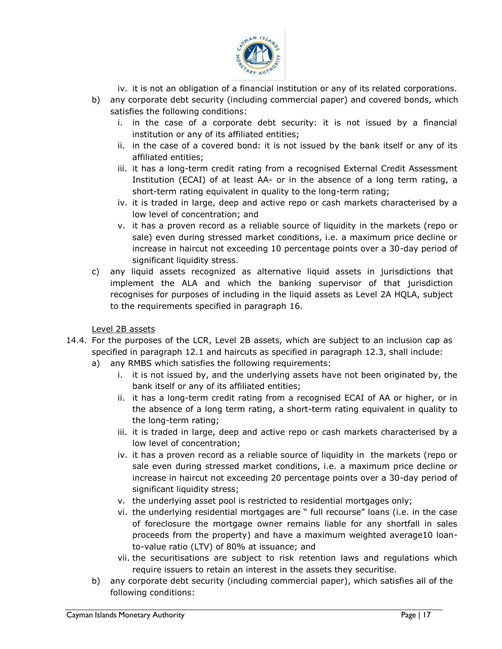

- iv. it is not an obligation of a financial institution or any of its related corporations.
- b) any corporate debt security (including commercial paper) and covered bonds, which satisfies the following conditions:
	- i. in the case of a corporate debt security: it is not issued by a financial institution or any of its affiliated entities;
	- ii. in the case of a covered bond: it is not issued by the bank itself or any of its affiliated entities;
	- iii. it has a long-term credit rating from a recognised External Credit Assessment Institution (ECAI) of at least AA- or in the absence of a long term rating, a short-term rating equivalent in quality to the long-term rating;
	- iv. it is traded in large, deep and active repo or cash markets characterised by a low level of concentration; and
	- v. it has a proven record as a reliable source of liquidity in the markets (repo or sale) even during stressed market conditions, i.e. a maximum price decline or increase in haircut not exceeding 10 percentage points over a 30-day period of significant liquidity stress.
- c) any liquid assets recognized as alternative liquid assets in jurisdictions that implement the ALA and which the banking supervisor of that jurisdiction recognises for purposes of including in the liquid assets as Level 2A HQLA, subject to the requirements specified in paragraph 16.

Level 2B assets

- 14.4. For the purposes of the LCR, Level 2B assets, which are subject to an inclusion cap as specified in paragraph 12.1 and haircuts as specified in paragraph 12.3, shall include:
	- a) any RMBS which satisfies the following requirements:
		- i. it is not issued by, and the underlying assets have not been originated by, the bank itself or any of its affiliated entities;
		- ii. it has a long-term credit rating from a recognised ECAI of AA or higher, or in the absence of a long term rating, a short-term rating equivalent in quality to the long-term rating;
		- iii. it is traded in large, deep and active repo or cash markets characterised by a low level of concentration;
		- iv. it has a proven record as a reliable source of liquidity in the markets (repo or sale even during stressed market conditions, i.e. a maximum price decline or increase in haircut not exceeding 20 percentage points over a 30-day period of significant liquidity stress;
		- v. the underlying asset pool is restricted to residential mortgages only;
		- vi. the underlying residential mortgages are " full recourse" loans (i.e. in the case of foreclosure the mortgage owner remains liable for any shortfall in sales proceeds from the property) and have a maximum weighted average10 loanto-value ratio (LTV) of 80% at issuance; and
		- vii. the securitisations are subject to risk retention laws and regulations which require issuers to retain an interest in the assets they securitise.
	- b) any corporate debt security (including commercial paper), which satisfies all of the following conditions: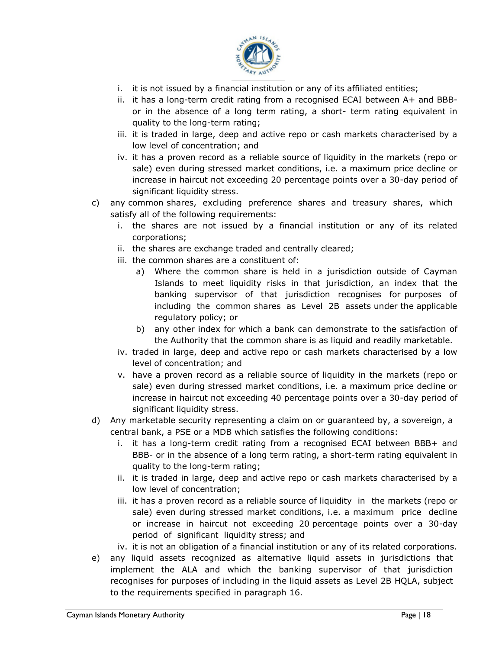

- i. it is not issued by a financial institution or any of its affiliated entities;
- ii. it has a long-term credit rating from a recognised ECAI between A+ and BBBor in the absence of a long term rating, a short- term rating equivalent in quality to the long-term rating;
- iii. it is traded in large, deep and active repo or cash markets characterised by a low level of concentration; and
- iv. it has a proven record as a reliable source of liquidity in the markets (repo or sale) even during stressed market conditions, i.e. a maximum price decline or increase in haircut not exceeding 20 percentage points over a 30-day period of significant liquidity stress.
- c) any common shares, excluding preference shares and treasury shares, which satisfy all of the following requirements:
	- i. the shares are not issued by a financial institution or any of its related corporations;
	- ii. the shares are exchange traded and centrally cleared;
	- iii. the common shares are a constituent of:
		- a) Where the common share is held in a jurisdiction outside of Cayman Islands to meet liquidity risks in that jurisdiction, an index that the banking supervisor of that jurisdiction recognises for purposes of including the common shares as Level 2B assets under the applicable regulatory policy; or
		- the Authority that the common share is as liquid and readily marketable. b) any other index for which a bank can demonstrate to the satisfaction of
	- iv. traded in large, deep and active repo or cash markets characterised by a low level of concentration; and
	- v. have a proven record as a reliable source of liquidity in the markets (repo or sale) even during stressed market conditions, i.e. a maximum price decline or increase in haircut not exceeding 40 percentage points over a 30-day period of significant liquidity stress.
- d) Any marketable security representing a claim on or guaranteed by, a sovereign, a central bank, a PSE or a MDB which satisfies the following conditions:
	- i. it has a long-term credit rating from a recognised ECAI between BBB+ and BBB- or in the absence of a long term rating, a short-term rating equivalent in quality to the long-term rating;
	- ii. it is traded in large, deep and active repo or cash markets characterised by a low level of concentration;
	- iii. it has a proven record as a reliable source of liquidity in the markets (repo or sale) even during stressed market conditions, i.e. a maximum price decline or increase in haircut not exceeding 20 percentage points over a 30-day period of significant liquidity stress; and
	- iv. it is not an obligation of a financial institution or any of its related corporations.
- e) any liquid assets recognized as alternative liquid assets in jurisdictions that implement the ALA and which the banking supervisor of that jurisdiction recognises for purposes of including in the liquid assets as Level 2B HQLA, subject to the requirements specified in paragraph 16.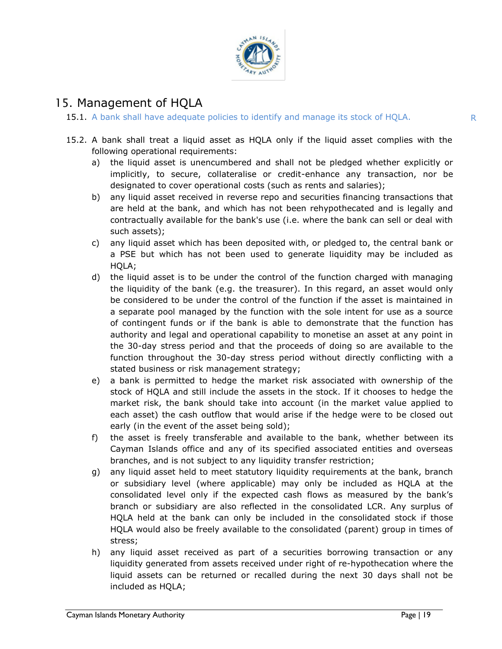

# 15. Management of HQLA

15.1. A bank shall have adequate policies to identify and manage its stock of HQLA.

- <span id="page-18-0"></span>15.2. A bank shall treat a liquid asset as HQLA only if the liquid asset complies with the following operational requirements:
	- a) the liquid asset is unencumbered and shall not be pledged whether explicitly or implicitly, to secure, collateralise or credit-enhance any transaction, nor be designated to cover operational costs (such as rents and salaries);
	- b) any liquid asset received in reverse repo and securities financing transactions that are held at the bank, and which has not been rehypothecated and is legally and contractually available for the bank's use (i.e. where the bank can sell or deal with such assets);
	- c) any liquid asset which has been deposited with, or pledged to, the central bank or a PSE but which has not been used to generate liquidity may be included as HQLA;
	- the 30-day stress period and that the proceeds of doing so are available to the d) the liquid asset is to be under the control of the function charged with managing the liquidity of the bank (e.g. the treasurer). In this regard, an asset would only be considered to be under the control of the function if the asset is maintained in a separate pool managed by the function with the sole intent for use as a source of contingent funds or if the bank is able to demonstrate that the function has authority and legal and operational capability to monetise an asset at any point in function throughout the 30-day stress period without directly conflicting with a stated business or risk management strategy;
	- e) a bank is permitted to hedge the market risk associated with ownership of the stock of HQLA and still include the assets in the stock. If it chooses to hedge the market risk, the bank should take into account (in the market value applied to each asset) the cash outflow that would arise if the hedge were to be closed out early (in the event of the asset being sold);
	- f) the asset is freely transferable and available to the bank, whether between its Cayman Islands office and any of its specified associated entities and overseas branches, and is not subject to any liquidity transfer restriction;
	- g) any liquid asset held to meet statutory liquidity requirements at the bank, branch or subsidiary level (where applicable) may only be included as HQLA at the consolidated level only if the expected cash flows as measured by the bank's branch or subsidiary are also reflected in the consolidated LCR. Any surplus of HQLA held at the bank can only be included in the consolidated stock if those HQLA would also be freely available to the consolidated (parent) group in times of stress;
	- h) any liquid asset received as part of a securities borrowing transaction or any liquidity generated from assets received under right of re-hypothecation where the liquid assets can be returned or recalled during the next 30 days shall not be included as HQLA;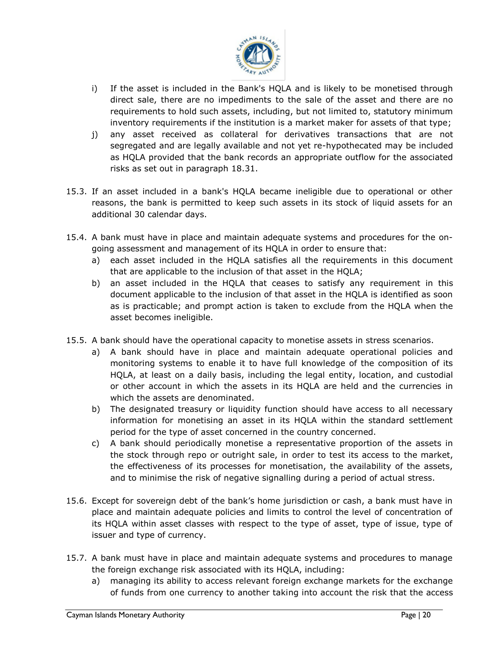

- i) If the asset is included in the Bank's HQLA and is likely to be monetised through direct sale, there are no impediments to the sale of the asset and there are no requirements to hold such assets, including, but not limited to, statutory minimum inventory requirements if the institution is a market maker for assets of that type;
- j) any asset received as collateral for derivatives transactions that are not segregated and are legally available and not yet re-hypothecated may be included as HQLA provided that the bank records an appropriate outflow for the associated risks as set out in paragraph 18.31.
- 15.3. If an asset included in a bank's HQLA became ineligible due to operational or other reasons, the bank is permitted to keep such assets in its stock of liquid assets for an additional 30 calendar days.
- 15.4. A bank must have in place and maintain adequate systems and procedures for the ongoing assessment and management of its HQLA in order to ensure that:
	- a) each asset included in the HQLA satisfies all the requirements in this document that are applicable to the inclusion of that asset in the HQLA;
	- b) an asset included in the HQLA that ceases to satisfy any requirement in this document applicable to the inclusion of that asset in the HQLA is identified as soon as is practicable; and prompt action is taken to exclude from the HQLA when the asset becomes ineligible.
- 15.5. A bank should have the operational capacity to monetise assets in stress scenarios.
	- a) A bank should have in place and maintain adequate operational policies and monitoring systems to enable it to have full knowledge of the composition of its HQLA, at least on a daily basis, including the legal entity, location, and custodial or other account in which the assets in its HQLA are held and the currencies in which the assets are denominated.
	- b) The designated treasury or liquidity function should have access to all necessary information for monetising an asset in its HQLA within the standard settlement period for the type of asset concerned in the country concerned.
	- c) A bank should periodically monetise a representative proportion of the assets in the stock through repo or outright sale, in order to test its access to the market, the effectiveness of its processes for monetisation, the availability of the assets, and to minimise the risk of negative signalling during a period of actual stress.
- 15.6. Except for sovereign debt of the bank's home jurisdiction or cash, a bank must have in place and maintain adequate policies and limits to control the level of concentration of its HQLA within asset classes with respect to the type of asset, type of issue, type of issuer and type of currency.
- 15.7. A bank must have in place and maintain adequate systems and procedures to manage the foreign exchange risk associated with its HQLA, including:
	- a) managing its ability to access relevant foreign exchange markets for the exchange of funds from one currency to another taking into account the risk that the access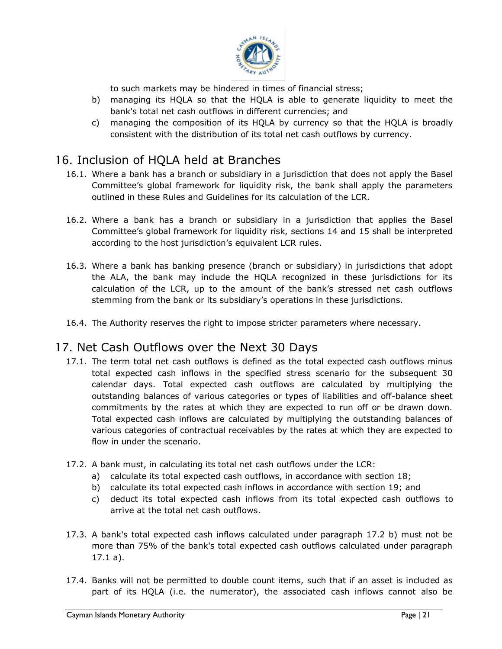

to such markets may be hindered in times of financial stress;

- b) managing its HQLA so that the HQLA is able to generate liquidity to meet the bank's total net cash outflows in different currencies; and
- c) managing the composition of its HQLA by currency so that the HQLA is broadly consistent with the distribution of its total net cash outflows by currency.

# 16. Inclusion of HQLA held at Branches

- 16.1. Where a bank has a branch or subsidiary in a jurisdiction that does not apply the Basel Committee's global framework for liquidity risk, the bank shall apply the parameters outlined in these Rules and Guidelines for its calculation of the LCR.
- <span id="page-20-0"></span>16.2. Where a bank has a branch or subsidiary in a jurisdiction that applies the Basel Committee's global framework for liquidity risk, sections 14 and 15 shall be interpreted according to the host jurisdiction's equivalent LCR rules.
- 16.3. Where a bank has banking presence (branch or subsidiary) in jurisdictions that adopt the ALA, the bank may include the HQLA recognized in these jurisdictions for its calculation of the LCR, up to the amount of the bank's stressed net cash outflows stemming from the bank or its subsidiary's operations in these jurisdictions.
- 16.4. The Authority reserves the right to impose stricter parameters where necessary.

# 17. Net Cash Outflows over the Next 30 Days

- <span id="page-20-1"></span>17.1. The term total net cash outflows is defined as the total expected cash outflows minus total expected cash inflows in the specified stress scenario for the subsequent 30 calendar days. Total expected cash outflows are calculated by multiplying the outstanding balances of various categories or types of liabilities and off-balance sheet commitments by the rates at which they are expected to run off or be drawn down. Total expected cash inflows are calculated by multiplying the outstanding balances of various categories of contractual receivables by the rates at which they are expected to flow in under the scenario.
- 17.2. A bank must, in calculating its total net cash outflows under the LCR:
	- a) calculate its total expected cash outflows, in accordance with section 18;
	- b) calculate its total expected cash inflows in accordance with section 19; and
	- c) deduct its total expected cash inflows from its total expected cash outflows to arrive at the total net cash outflows.
- 17.3. A bank's total expected cash inflows calculated under paragraph 17.2 b) must not be more than 75% of the bank's total expected cash outflows calculated under paragraph 17.1 a).
- 17.4. Banks will not be permitted to double count items, such that if an asset is included as part of its HQLA (i.e. the numerator), the associated cash inflows cannot also be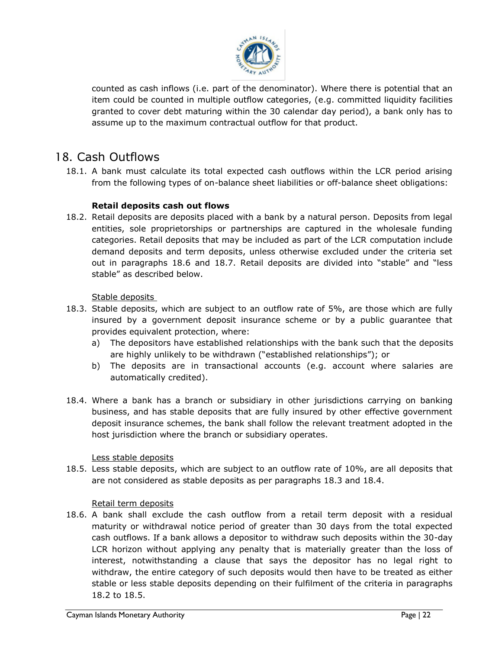

counted as cash inflows (i.e. part of the denominator). Where there is potential that an item could be counted in multiple outflow categories, (e.g. committed liquidity facilities granted to cover debt maturing within the 30 calendar day period), a bank only has to assume up to the maximum contractual outflow for that product.

# 18. Cash Outflows

18.1. A bank must calculate its total expected cash outflows within the LCR period arising from the following types of on-balance sheet liabilities or off-balance sheet obligations:

#### **Retail deposits cash out flows**

<span id="page-21-1"></span><span id="page-21-0"></span>18.2. Retail deposits are deposits placed with a bank by a natural person. Deposits from legal entities, sole proprietorships or partnerships are captured in the wholesale funding categories. Retail deposits that may be included as part of the LCR computation include demand deposits and term deposits, unless otherwise excluded under the criteria set out in paragraphs 18.6 and 18.7. Retail deposits are divided into "stable" and "less stable" as described below.

Stable deposits

- 18.3. Stable deposits, which are subject to an outflow rate of 5%, are those which are fully insured by a government deposit insurance scheme or by a public guarantee that provides equivalent protection, where:
	- a) The depositors have established relationships with the bank such that the deposits are highly unlikely to be withdrawn ("established relationships"); or
	- b) The deposits are in transactional accounts (e.g. account where salaries are automatically credited).
- 18.4. Where a bank has a branch or subsidiary in other jurisdictions carrying on banking business, and has stable deposits that are fully insured by other effective government deposit insurance schemes, the bank shall follow the relevant treatment adopted in the host jurisdiction where the branch or subsidiary operates.

Less stable deposits

18.5. Less stable deposits, which are subject to an outflow rate of 10%, are all deposits that are not considered as stable deposits as per paragraphs 18.3 and 18.4.

#### Retail term deposits

18.6. A bank shall exclude the cash outflow from a retail term deposit with a residual maturity or withdrawal notice period of greater than 30 days from the total expected cash outflows. If a bank allows a depositor to withdraw such deposits within the 30-day LCR horizon without applying any penalty that is materially greater than the loss of interest, notwithstanding a clause that says the depositor has no legal right to withdraw, the entire category of such deposits would then have to be treated as either stable or less stable deposits depending on their fulfilment of the criteria in paragraphs 18.2 to 18.5.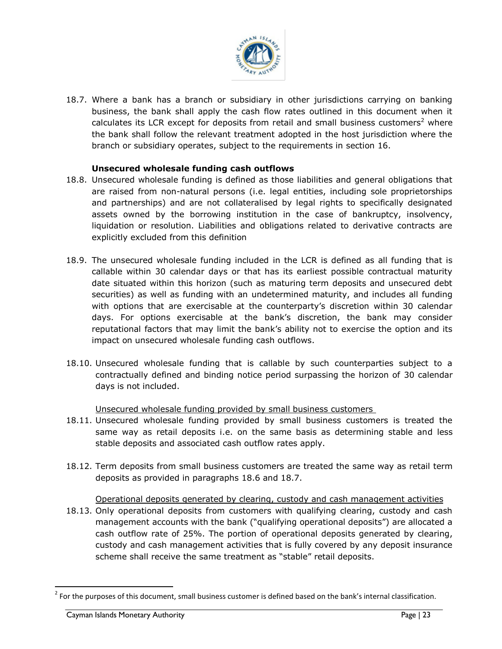

18.7. Where a bank has a branch or subsidiary in other jurisdictions carrying on banking business, the bank shall apply the cash flow rates outlined in this document when it calculates its LCR except for deposits from retail and small business customers<sup>2</sup> where the bank shall follow the relevant treatment adopted in the host jurisdiction where the branch or subsidiary operates, subject to the requirements in section 16.

#### **Unsecured wholesale funding cash outflows**

- <span id="page-22-0"></span>18.8. Unsecured wholesale funding is defined as those liabilities and general obligations that are raised from non-natural persons (i.e. legal entities, including sole proprietorships and partnerships) and are not collateralised by legal rights to specifically designated assets owned by the borrowing institution in the case of bankruptcy, insolvency, liquidation or resolution. Liabilities and obligations related to derivative contracts are explicitly excluded from this definition
- impact on unsecured wholesale funding cash outflows. 18.9. The unsecured wholesale funding included in the LCR is defined as all funding that is callable within 30 calendar days or that has its earliest possible contractual maturity date situated within this horizon (such as maturing term deposits and unsecured debt securities) as well as funding with an undetermined maturity, and includes all funding with options that are exercisable at the counterparty's discretion within 30 calendar days. For options exercisable at the bank's discretion, the bank may consider reputational factors that may limit the bank's ability not to exercise the option and its
- 18.10. Unsecured wholesale funding that is callable by such counterparties subject to a contractually defined and binding notice period surpassing the horizon of 30 calendar days is not included.

Unsecured wholesale funding provided by small business customers

- 18.11. Unsecured wholesale funding provided by small business customers is treated the same way as retail deposits i.e. on the same basis as determining stable and less stable deposits and associated cash outflow rates apply.
- 18.12. Term deposits from small business customers are treated the same way as retail term deposits as provided in paragraphs 18.6 and 18.7.

Operational deposits generated by clearing, custody and cash management activities

18.13. Only operational deposits from customers with qualifying clearing, custody and cash management accounts with the bank ("qualifying operational deposits") are allocated a cash outflow rate of 25%. The portion of operational deposits generated by clearing, custody and cash management activities that is fully covered by any deposit insurance scheme shall receive the same treatment as "stable" retail deposits.

 $\overline{a}$ 

 $2$  For the purposes of this document, small business customer is defined based on the bank's internal classification.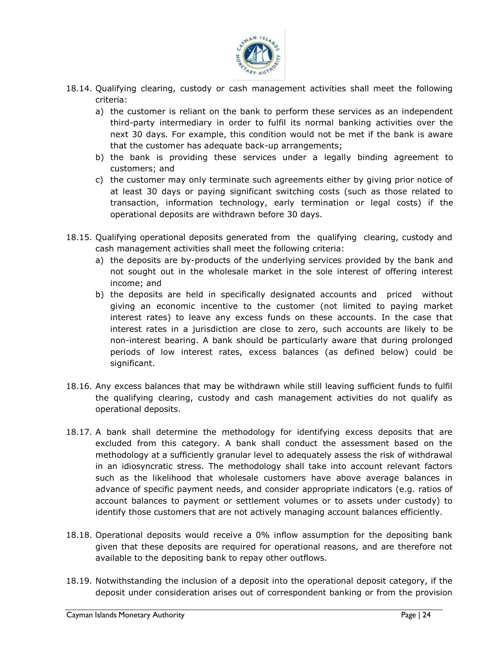

- 18.14. Qualifying clearing, custody or cash management activities shall meet the following criteria:
	- a) the customer is reliant on the bank to perform these services as an independent third-party intermediary in order to fulfil its normal banking activities over the next 30 days. For example, this condition would not be met if the bank is aware that the customer has adequate back-up arrangements;
	- b) the bank is providing these services under a legally binding agreement to customers; and
	- c) the customer may only terminate such agreements either by giving prior notice of at least 30 days or paying significant switching costs (such as those related to transaction, information technology, early termination or legal costs) if the operational deposits are withdrawn before 30 days.
- 18.15. Qualifying operational deposits generated from the qualifying clearing, custody and cash management activities shall meet the following criteria:
	- a) the deposits are by-products of the underlying services provided by the bank and not sought out in the wholesale market in the sole interest of offering interest income; and
	- non-interest bearing. A bank should be particularly aware that during prolonged b) the deposits are held in specifically designated accounts and priced without giving an economic incentive to the customer (not limited to paying market interest rates) to leave any excess funds on these accounts. In the case that interest rates in a jurisdiction are close to zero, such accounts are likely to be periods of low interest rates, excess balances (as defined below) could be significant.
- 18.16. Any excess balances that may be withdrawn while still leaving sufficient funds to fulfil the qualifying clearing, custody and cash management activities do not qualify as operational deposits.
- 18.17. A bank shall determine the methodology for identifying excess deposits that are excluded from this category. A bank shall conduct the assessment based on the methodology at a sufficiently granular level to adequately assess the risk of withdrawal in an idiosyncratic stress. The methodology shall take into account relevant factors such as the likelihood that wholesale customers have above average balances in advance of specific payment needs, and consider appropriate indicators (e.g. ratios of account balances to payment or settlement volumes or to assets under custody) to identify those customers that are not actively managing account balances efficiently.
- 18.18. Operational deposits would receive a 0% inflow assumption for the depositing bank given that these deposits are required for operational reasons, and are therefore not available to the depositing bank to repay other outflows.
- 18.19. Notwithstanding the inclusion of a deposit into the operational deposit category, if the deposit under consideration arises out of correspondent banking or from the provision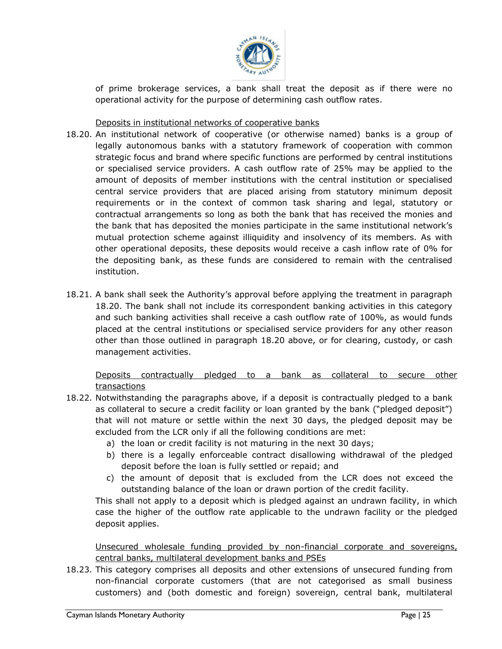

of prime brokerage services, a bank shall treat the deposit as if there were no operational activity for the purpose of determining cash outflow rates.

#### Deposits in institutional networks of cooperative banks

- 18.20. An institutional network of cooperative (or otherwise named) banks is a group of legally autonomous banks with a statutory framework of cooperation with common strategic focus and brand where specific functions are performed by central institutions or specialised service providers. A cash outflow rate of 25% may be applied to the amount of deposits of member institutions with the central institution or specialised central service providers that are placed arising from statutory minimum deposit requirements or in the context of common task sharing and legal, statutory or contractual arrangements so long as both the bank that has received the monies and the bank that has deposited the monies participate in the same institutional network's mutual protection scheme against illiquidity and insolvency of its members. As with other operational deposits, these deposits would receive a cash inflow rate of 0% for the depositing bank, as these funds are considered to remain with the centralised institution.
- other than those outlined in paragraph 18.20 above, or for clearing, custody, or cash 18.21. A bank shall seek the Authority's approval before applying the treatment in paragraph 18.20. The bank shall not include its correspondent banking activities in this category and such banking activities shall receive a cash outflow rate of 100%, as would funds placed at the central institutions or specialised service providers for any other reason management activities.

Deposits contractually pledged to a bank as collateral to secure other transactions

- 18.22. Notwithstanding the paragraphs above, if a deposit is contractually pledged to a bank as collateral to secure a credit facility or loan granted by the bank ("pledged deposit") that will not mature or settle within the next 30 days, the pledged deposit may be excluded from the LCR only if all the following conditions are met:
	- a) the loan or credit facility is not maturing in the next 30 days;
	- b) there is a legally enforceable contract disallowing withdrawal of the pledged deposit before the loan is fully settled or repaid; and
	- c) the amount of deposit that is excluded from the LCR does not exceed the outstanding balance of the loan or drawn portion of the credit facility.

This shall not apply to a deposit which is pledged against an undrawn facility, in which case the higher of the outflow rate applicable to the undrawn facility or the pledged deposit applies.

Unsecured wholesale funding provided by non-financial corporate and sovereigns, central banks, multilateral development banks and PSEs

18.23. This category comprises all deposits and other extensions of unsecured funding from non-financial corporate customers (that are not categorised as small business customers) and (both domestic and foreign) sovereign, central bank, multilateral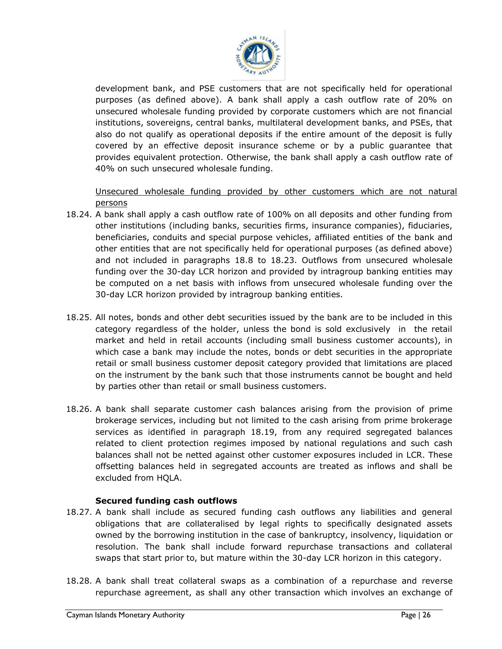

development bank, and PSE customers that are not specifically held for operational purposes (as defined above). A bank shall apply a cash outflow rate of 20% on unsecured wholesale funding provided by corporate customers which are not financial institutions, sovereigns, central banks, multilateral development banks, and PSEs, that also do not qualify as operational deposits if the entire amount of the deposit is fully covered by an effective deposit insurance scheme or by a public guarantee that provides equivalent protection. Otherwise, the bank shall apply a cash outflow rate of 40% on such unsecured wholesale funding.

Unsecured wholesale funding provided by other customers which are not natural persons

- 18.24. A bank shall apply a cash outflow rate of 100% on all deposits and other funding from other institutions (including banks, securities firms, insurance companies), fiduciaries, beneficiaries, conduits and special purpose vehicles, affiliated entities of the bank and other entities that are not specifically held for operational purposes (as defined above) and not included in paragraphs 18.8 to 18.23. Outflows from unsecured wholesale funding over the 30-day LCR horizon and provided by intragroup banking entities may be computed on a net basis with inflows from unsecured wholesale funding over the 30-day LCR horizon provided by intragroup banking entities.
- market and held in retail accounts (including small business customer accounts), in 18.25. All notes, bonds and other debt securities issued by the bank are to be included in this category regardless of the holder, unless the bond is sold exclusively in the retail which case a bank may include the notes, bonds or debt securities in the appropriate retail or small business customer deposit category provided that limitations are placed on the instrument by the bank such that those instruments cannot be bought and held by parties other than retail or small business customers.
- 18.26. A bank shall separate customer cash balances arising from the provision of prime brokerage services, including but not limited to the cash arising from prime brokerage services as identified in paragraph 18.19, from any required segregated balances related to client protection regimes imposed by national regulations and such cash balances shall not be netted against other customer exposures included in LCR. These offsetting balances held in segregated accounts are treated as inflows and shall be excluded from HQLA.

#### **Secured funding cash outflows**

- <span id="page-25-0"></span>18.27. A bank shall include as secured funding cash outflows any liabilities and general obligations that are collateralised by legal rights to specifically designated assets owned by the borrowing institution in the case of bankruptcy, insolvency, liquidation or resolution. The bank shall include forward repurchase transactions and collateral swaps that start prior to, but mature within the 30-day LCR horizon in this category.
- 18.28. A bank shall treat collateral swaps as a combination of a repurchase and reverse repurchase agreement, as shall any other transaction which involves an exchange of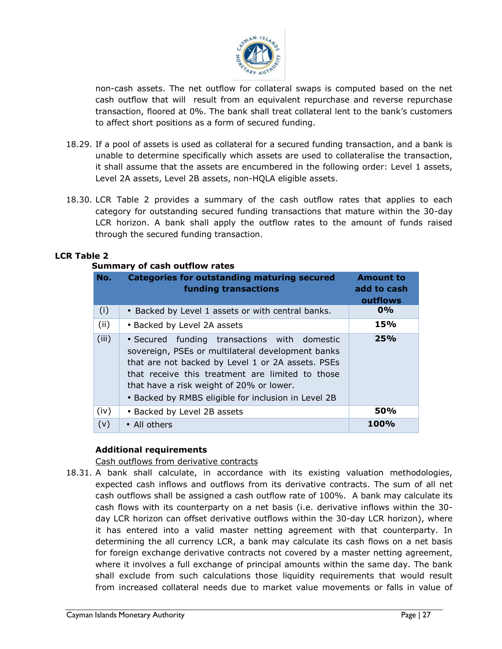

non-cash assets. The net outflow for collateral swaps is computed based on the net cash outflow that will result from an equivalent repurchase and reverse repurchase transaction, floored at 0%. The bank shall treat collateral lent to the bank's customers to affect short positions as a form of secured funding.

- 18.29. If a pool of assets is used as collateral for a secured funding transaction, and a bank is unable to determine specifically which assets are used to collateralise the transaction, it shall assume that the assets are encumbered in the following order: Level 1 assets, Level 2A assets, Level 2B assets, non-HQLA eligible assets.
- 18.30. LCR Table 2 provides a summary of the cash outflow rates that applies to each category for outstanding secured funding transactions that mature within the 30-day LCR horizon. A bank shall apply the outflow rates to the amount of funds raised through the secured funding transaction.

#### **LCR Table 2**

#### **Summary of cash outflow rates**

| No.   | <b>Categories for outstanding maturing secured</b><br>funding transactions                                                                                                                                                                                                                                    | <b>Amount to</b><br>add to cash<br>outflows |
|-------|---------------------------------------------------------------------------------------------------------------------------------------------------------------------------------------------------------------------------------------------------------------------------------------------------------------|---------------------------------------------|
| (i)   | • Backed by Level 1 assets or with central banks.                                                                                                                                                                                                                                                             | $0\%$                                       |
| (ii)  | • Backed by Level 2A assets                                                                                                                                                                                                                                                                                   | 15%                                         |
| (iii) | • Secured funding transactions with domestic<br>sovereign, PSEs or multilateral development banks<br>that are not backed by Level 1 or 2A assets. PSEs<br>that receive this treatment are limited to those<br>that have a risk weight of 20% or lower.<br>• Backed by RMBS eligible for inclusion in Level 2B | 25%                                         |
| (iv)  | • Backed by Level 2B assets                                                                                                                                                                                                                                                                                   | <b>50%</b>                                  |
| (v)   | • All others                                                                                                                                                                                                                                                                                                  | 100%                                        |

#### **Additional requirements**

#### Cash outflows from derivative contracts

<span id="page-26-0"></span>18.31. A bank shall calculate, in accordance with its existing valuation methodologies, expected cash inflows and outflows from its derivative contracts. The sum of all net cash outflows shall be assigned a cash outflow rate of 100%. A bank may calculate its cash flows with its counterparty on a net basis (i.e. derivative inflows within the 30 day LCR horizon can offset derivative outflows within the 30-day LCR horizon), where it has entered into a valid master netting agreement with that counterparty. In determining the all currency LCR, a bank may calculate its cash flows on a net basis for foreign exchange derivative contracts not covered by a master netting agreement, where it involves a full exchange of principal amounts within the same day. The bank shall exclude from such calculations those liquidity requirements that would result from increased collateral needs due to market value movements or falls in value of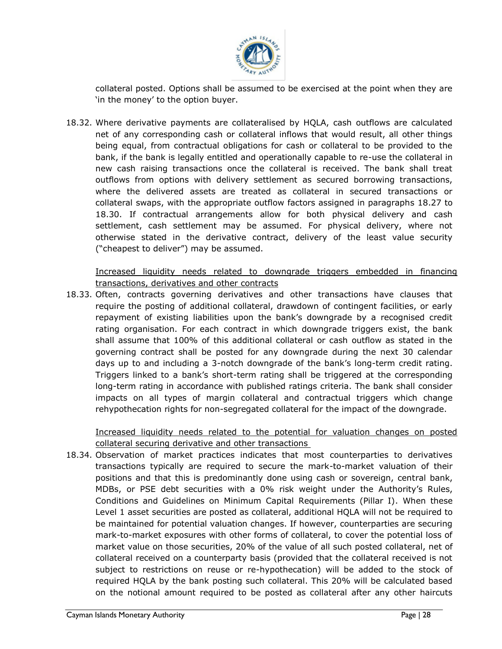

collateral posted. Options shall be assumed to be exercised at the point when they are 'in the money' to the option buyer.

18.32. Where derivative payments are collateralised by HQLA, cash outflows are calculated net of any corresponding cash or collateral inflows that would result, all other things being equal, from contractual obligations for cash or collateral to be provided to the bank, if the bank is legally entitled and operationally capable to re-use the collateral in new cash raising transactions once the collateral is received. The bank shall treat outflows from options with delivery settlement as secured borrowing transactions, where the delivered assets are treated as collateral in secured transactions or collateral swaps, with the appropriate outflow factors assigned in paragraphs 18.27 to 18.30. If contractual arrangements allow for both physical delivery and cash settlement, cash settlement may be assumed. For physical delivery, where not otherwise stated in the derivative contract, delivery of the least value security ("cheapest to deliver") may be assumed.

Increased liquidity needs related to downgrade triggers embedded in financing transactions, derivatives and other contracts

shall assume that 100% of this additional collateral or cash outflow as stated in the 18.33. Often, contracts governing derivatives and other transactions have clauses that require the posting of additional collateral, drawdown of contingent facilities, or early repayment of existing liabilities upon the bank's downgrade by a recognised credit rating organisation. For each contract in which downgrade triggers exist, the bank governing contract shall be posted for any downgrade during the next 30 calendar days up to and including a 3-notch downgrade of the bank's long-term credit rating. Triggers linked to a bank's short-term rating shall be triggered at the corresponding long-term rating in accordance with published ratings criteria. The bank shall consider impacts on all types of margin collateral and contractual triggers which change rehypothecation rights for non-segregated collateral for the impact of the downgrade.

Increased liquidity needs related to the potential for valuation changes on posted collateral securing derivative and other transactions

18.34. Observation of market practices indicates that most counterparties to derivatives transactions typically are required to secure the mark-to-market valuation of their positions and that this is predominantly done using cash or sovereign, central bank, MDBs, or PSE debt securities with a 0% risk weight under the Authority's Rules, Conditions and Guidelines on Minimum Capital Requirements (Pillar I). When these Level 1 asset securities are posted as collateral, additional HQLA will not be required to be maintained for potential valuation changes. If however, counterparties are securing mark-to-market exposures with other forms of collateral, to cover the potential loss of market value on those securities, 20% of the value of all such posted collateral, net of collateral received on a counterparty basis (provided that the collateral received is not subject to restrictions on reuse or re-hypothecation) will be added to the stock of required HQLA by the bank posting such collateral. This 20% will be calculated based on the notional amount required to be posted as collateral after any other haircuts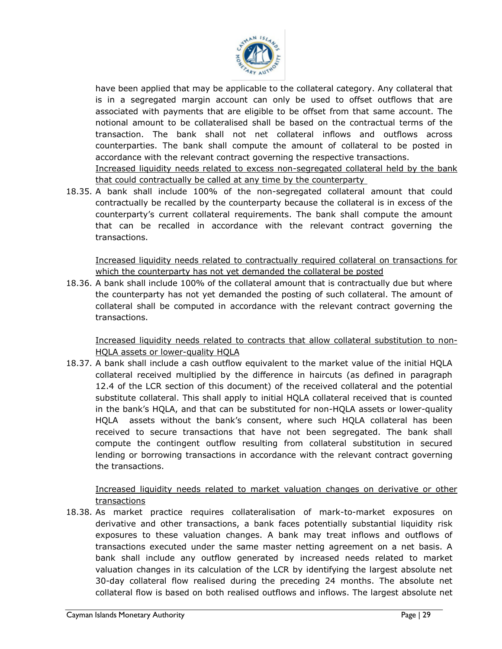

have been applied that may be applicable to the collateral category. Any collateral that is in a segregated margin account can only be used to offset outflows that are associated with payments that are eligible to be offset from that same account. The notional amount to be collateralised shall be based on the contractual terms of the transaction. The bank shall not net collateral inflows and outflows across counterparties. The bank shall compute the amount of collateral to be posted in accordance with the relevant contract governing the respective transactions. Increased liquidity needs related to excess non-segregated collateral held by the bank that could contractually be called at any time by the counterparty

18.35. A bank shall include 100% of the non-segregated collateral amount that could contractually be recalled by the counterparty because the collateral is in excess of the counterparty's current collateral requirements. The bank shall compute the amount that can be recalled in accordance with the relevant contract governing the transactions.

Increased liquidity needs related to contractually required collateral on transactions for which the counterparty has not yet demanded the collateral be posted

18.36. A bank shall include 100% of the collateral amount that is contractually due but where the counterparty has not yet demanded the posting of such collateral. The amount of collateral shall be computed in accordance with the relevant contract governing the transactions.

Increased liquidity needs related to contracts that allow collateral substitution to non-HQLA assets or lower-quality HQLA

18.37. A bank shall include a cash outflow equivalent to the market value of the initial HQLA collateral received multiplied by the difference in haircuts (as defined in paragraph 12.4 of the LCR section of this document) of the received collateral and the potential substitute collateral. This shall apply to initial HQLA collateral received that is counted in the bank's HQLA, and that can be substituted for non-HQLA assets or lower-quality HQLA assets without the bank's consent, where such HQLA collateral has been received to secure transactions that have not been segregated. The bank shall compute the contingent outflow resulting from collateral substitution in secured lending or borrowing transactions in accordance with the relevant contract governing the transactions.

Increased liquidity needs related to market valuation changes on derivative or other transactions

18.38. As market practice requires collateralisation of mark-to-market exposures on derivative and other transactions, a bank faces potentially substantial liquidity risk exposures to these valuation changes. A bank may treat inflows and outflows of transactions executed under the same master netting agreement on a net basis. A bank shall include any outflow generated by increased needs related to market valuation changes in its calculation of the LCR by identifying the largest absolute net 30-day collateral flow realised during the preceding 24 months. The absolute net collateral flow is based on both realised outflows and inflows. The largest absolute net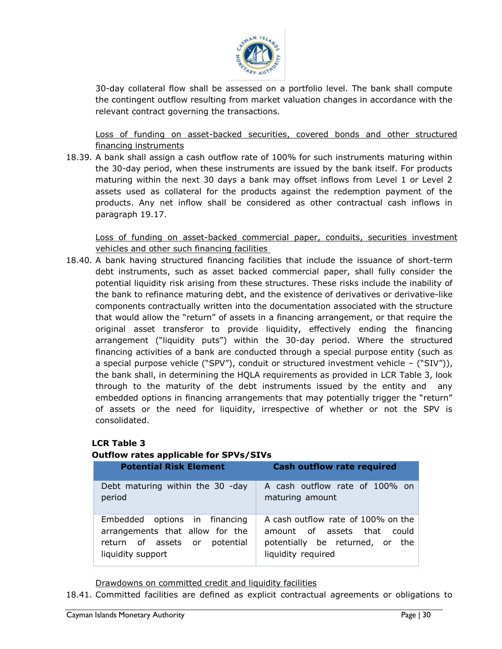

30-day collateral flow shall be assessed on a portfolio level. The bank shall compute the contingent outflow resulting from market valuation changes in accordance with the relevant contract governing the transactions.

Loss of funding on asset-backed securities, covered bonds and other structured financing instruments

18.39. A bank shall assign a cash outflow rate of 100% for such instruments maturing within the 30-day period, when these instruments are issued by the bank itself. For products maturing within the next 30 days a bank may offset inflows from Level 1 or Level 2 assets used as collateral for the products against the redemption payment of the products. Any net inflow shall be considered as other contractual cash inflows in paragraph 19.17.

Loss of funding on asset-backed commercial paper, conduits, securities investment vehicles and other such financing facilities

arrangement ("liquidity puts") within the 30-day period. Where the structured 18.40. A bank having structured financing facilities that include the issuance of short-term debt instruments, such as asset backed commercial paper, shall fully consider the potential liquidity risk arising from these structures. These risks include the inability of the bank to refinance maturing debt, and the existence of derivatives or derivative-like components contractually written into the documentation associated with the structure that would allow the "return" of assets in a financing arrangement, or that require the original asset transferor to provide liquidity, effectively ending the financing financing activities of a bank are conducted through a special purpose entity (such as a special purpose vehicle ("SPV"), conduit or structured investment vehicle – ("SIV")), the bank shall, in determining the HQLA requirements as provided in LCR Table 3, look through to the maturity of the debt instruments issued by the entity and any embedded options in financing arrangements that may potentially trigger the "return" of assets or the need for liquidity, irrespective of whether or not the SPV is consolidated.

#### **LCR Table 3**

#### **Outflow rates applicable for SPVs/SIVs**

| <b>Potential Risk Element</b>    | <b>Cash outflow rate required</b>  |
|----------------------------------|------------------------------------|
| Debt maturing within the 30 -day | A cash outflow rate of 100% on     |
| period                           | maturing amount                    |
| Embedded options in financing    | A cash outflow rate of 100% on the |
| arrangements that allow for the  | amount of assets that could        |
| return of assets or potential    | potentially be returned, or the    |
| liquidity support                | liquidity required                 |

Drawdowns on committed credit and liquidity facilities

18.41. Committed facilities are defined as explicit contractual agreements or obligations to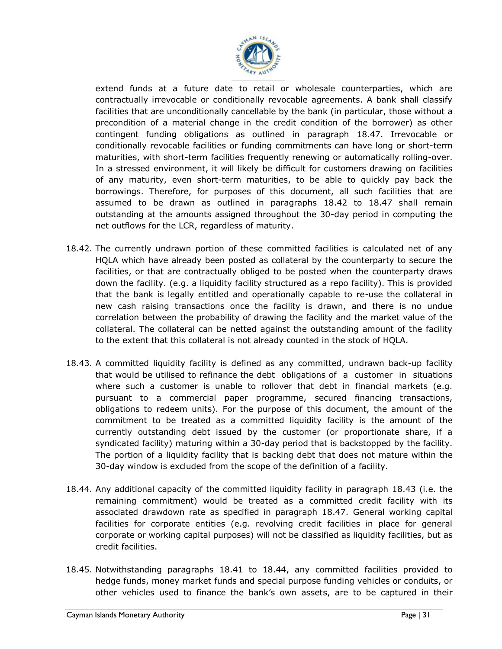

extend funds at a future date to retail or wholesale counterparties, which are contractually irrevocable or conditionally revocable agreements. A bank shall classify facilities that are unconditionally cancellable by the bank (in particular, those without a precondition of a material change in the credit condition of the borrower) as other contingent funding obligations as outlined in paragraph 18.47. Irrevocable or conditionally revocable facilities or funding commitments can have long or short-term maturities, with short-term facilities frequently renewing or automatically rolling-over. In a stressed environment, it will likely be difficult for customers drawing on facilities of any maturity, even short-term maturities, to be able to quickly pay back the borrowings. Therefore, for purposes of this document, all such facilities that are assumed to be drawn as outlined in paragraphs 18.42 to 18.47 shall remain outstanding at the amounts assigned throughout the 30-day period in computing the net outflows for the LCR, regardless of maturity.

- to the extent that this collateral is not already counted in the stock of HQLA. 18.42. The currently undrawn portion of these committed facilities is calculated net of any HQLA which have already been posted as collateral by the counterparty to secure the facilities, or that are contractually obliged to be posted when the counterparty draws down the facility. (e.g. a liquidity facility structured as a repo facility). This is provided that the bank is legally entitled and operationally capable to re-use the collateral in new cash raising transactions once the facility is drawn, and there is no undue correlation between the probability of drawing the facility and the market value of the collateral. The collateral can be netted against the outstanding amount of the facility
- 18.43. A committed liquidity facility is defined as any committed, undrawn back-up facility that would be utilised to refinance the debt obligations of a customer in situations where such a customer is unable to rollover that debt in financial markets (e.g. pursuant to a commercial paper programme, secured financing transactions, obligations to redeem units). For the purpose of this document, the amount of the commitment to be treated as a committed liquidity facility is the amount of the currently outstanding debt issued by the customer (or proportionate share, if a syndicated facility) maturing within a 30-day period that is backstopped by the facility. The portion of a liquidity facility that is backing debt that does not mature within the 30-day window is excluded from the scope of the definition of a facility.
- 18.44. Any additional capacity of the committed liquidity facility in paragraph 18.43 (i.e. the remaining commitment) would be treated as a committed credit facility with its associated drawdown rate as specified in paragraph 18.47. General working capital facilities for corporate entities (e.g. revolving credit facilities in place for general corporate or working capital purposes) will not be classified as liquidity facilities, but as credit facilities.
- 18.45. Notwithstanding paragraphs 18.41 to 18.44, any committed facilities provided to hedge funds, money market funds and special purpose funding vehicles or conduits, or other vehicles used to finance the bank's own assets, are to be captured in their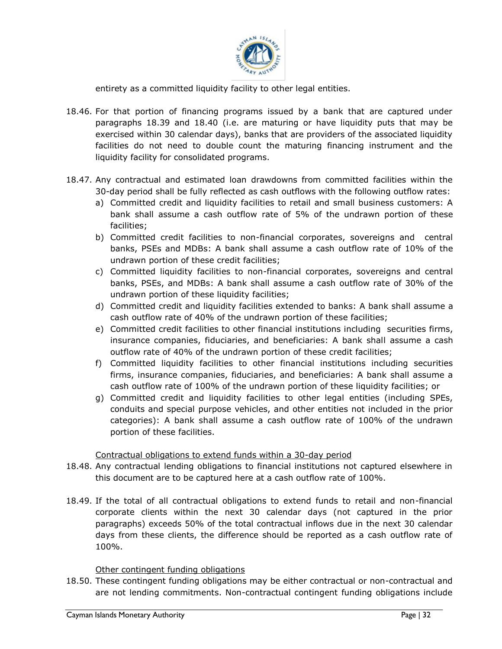

entirety as a committed liquidity facility to other legal entities.

- 18.46. For that portion of financing programs issued by a bank that are captured under paragraphs 18.39 and 18.40 (i.e. are maturing or have liquidity puts that may be exercised within 30 calendar days), banks that are providers of the associated liquidity facilities do not need to double count the maturing financing instrument and the liquidity facility for consolidated programs.
- 18.47. Any contractual and estimated loan drawdowns from committed facilities within the 30-day period shall be fully reflected as cash outflows with the following outflow rates:
	- a) Committed credit and liquidity facilities to retail and small business customers: A bank shall assume a cash outflow rate of 5% of the undrawn portion of these facilities;
	- b) Committed credit facilities to non-financial corporates, sovereigns and central banks, PSEs and MDBs: A bank shall assume a cash outflow rate of 10% of the undrawn portion of these credit facilities;
	- c) Committed liquidity facilities to non-financial corporates, sovereigns and central banks, PSEs, and MDBs: A bank shall assume a cash outflow rate of 30% of the undrawn portion of these liquidity facilities;
	- d) Committed credit and liquidity facilities extended to banks: A bank shall assume a cash outflow rate of 40% of the undrawn portion of these facilities;
	- insurance companies, fiduciaries, and beneficiaries: A bank shall assume a cash e) Committed credit facilities to other financial institutions including securities firms, outflow rate of 40% of the undrawn portion of these credit facilities;
	- f) Committed liquidity facilities to other financial institutions including securities firms, insurance companies, fiduciaries, and beneficiaries: A bank shall assume a cash outflow rate of 100% of the undrawn portion of these liquidity facilities; or
	- g) Committed credit and liquidity facilities to other legal entities (including SPEs, conduits and special purpose vehicles, and other entities not included in the prior categories): A bank shall assume a cash outflow rate of 100% of the undrawn portion of these facilities.

#### Contractual obligations to extend funds within a 30-day period

- 18.48. Any contractual lending obligations to financial institutions not captured elsewhere in this document are to be captured here at a cash outflow rate of 100%.
- 18.49. If the total of all contractual obligations to extend funds to retail and non-financial corporate clients within the next 30 calendar days (not captured in the prior paragraphs) exceeds 50% of the total contractual inflows due in the next 30 calendar days from these clients, the difference should be reported as a cash outflow rate of 100%.

#### Other contingent funding obligations

18.50. These contingent funding obligations may be either contractual or non-contractual and are not lending commitments. Non-contractual contingent funding obligations include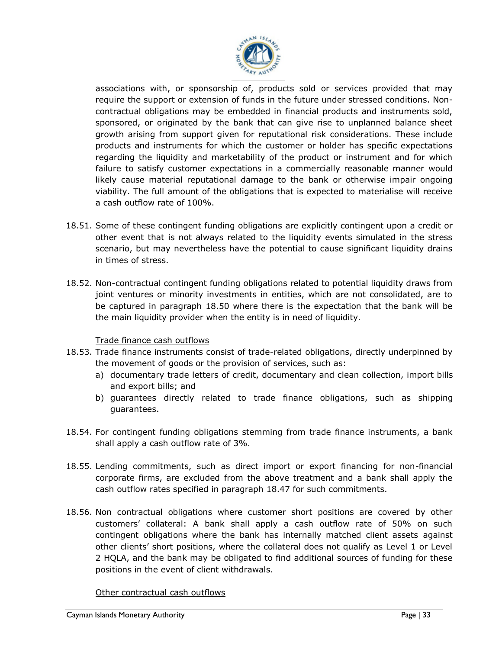

associations with, or sponsorship of, products sold or services provided that may require the support or extension of funds in the future under stressed conditions. Noncontractual obligations may be embedded in financial products and instruments sold, sponsored, or originated by the bank that can give rise to unplanned balance sheet growth arising from support given for reputational risk considerations. These include products and instruments for which the customer or holder has specific expectations regarding the liquidity and marketability of the product or instrument and for which failure to satisfy customer expectations in a commercially reasonable manner would likely cause material reputational damage to the bank or otherwise impair ongoing viability. The full amount of the obligations that is expected to materialise will receive a cash outflow rate of 100%.

- 18.51. Some of these contingent funding obligations are explicitly contingent upon a credit or other event that is not always related to the liquidity events simulated in the stress scenario, but may nevertheless have the potential to cause significant liquidity drains in times of stress.
- 18.52. Non-contractual contingent funding obligations related to potential liquidity draws from joint ventures or minority investments in entities, which are not consolidated, are to be captured in paragraph 18.50 where there is the expectation that the bank will be the main liquidity provider when the entity is in need of liquidity.

#### Trade finance cash outflows

- 18.53. Trade finance instruments consist of trade-related obligations, directly underpinned by the movement of goods or the provision of services, such as:
	- a) documentary trade letters of credit, documentary and clean collection, import bills and export bills; and
	- b) guarantees directly related to trade finance obligations, such as shipping guarantees.
- 18.54. For contingent funding obligations stemming from trade finance instruments, a bank shall apply a cash outflow rate of 3%.
- 18.55. Lending commitments, such as direct import or export financing for non-financial corporate firms, are excluded from the above treatment and a bank shall apply the cash outflow rates specified in paragraph 18.47 for such commitments.
- 18.56. Non contractual obligations where customer short positions are covered by other customers' collateral: A bank shall apply a cash outflow rate of 50% on such contingent obligations where the bank has internally matched client assets against other clients' short positions, where the collateral does not qualify as Level 1 or Level 2 HQLA, and the bank may be obligated to find additional sources of funding for these positions in the event of client withdrawals.

#### Other contractual cash outflows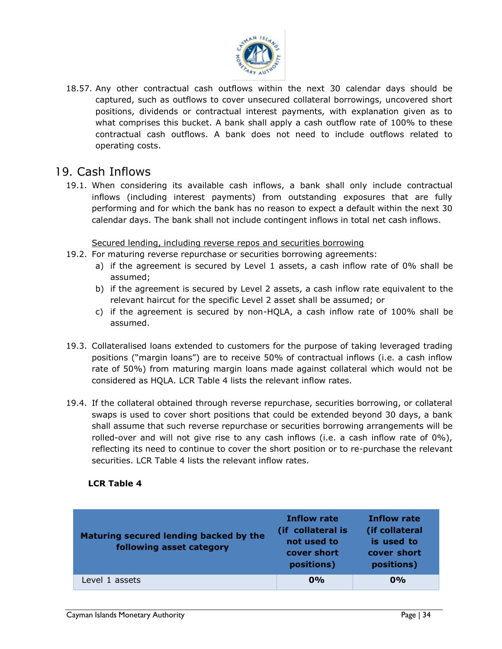

18.57. Any other contractual cash outflows within the next 30 calendar days should be captured, such as outflows to cover unsecured collateral borrowings, uncovered short positions, dividends or contractual interest payments, with explanation given as to what comprises this bucket. A bank shall apply a cash outflow rate of 100% to these contractual cash outflows. A bank does not need to include outflows related to operating costs.

# 19. Cash Inflows

<span id="page-33-0"></span>19.1. When considering its available cash inflows, a bank shall only include contractual inflows (including interest payments) from outstanding exposures that are fully performing and for which the bank has no reason to expect a default within the next 30 calendar days. The bank shall not include contingent inflows in total net cash inflows.

#### Secured lending, including reverse repos and securities borrowing

- <span id="page-33-1"></span>19.2. For maturing reverse repurchase or securities borrowing agreements:
	- a) if the agreement is secured by Level 1 assets, a cash inflow rate of 0% shall be assumed;
	- b) if the agreement is secured by Level 2 assets, a cash inflow rate equivalent to the relevant haircut for the specific Level 2 asset shall be assumed; or
	- c) if the agreement is secured by non-HQLA, a cash inflow rate of 100% shall be assumed.
- 19.3. Collateralised loans extended to customers for the purpose of taking leveraged trading positions ("margin loans") are to receive 50% of contractual inflows (i.e. a cash inflow rate of 50%) from maturing margin loans made against collateral which would not be considered as HQLA. LCR Table 4 lists the relevant inflow rates.
- 19.4. If the collateral obtained through reverse repurchase, securities borrowing, or collateral swaps is used to cover short positions that could be extended beyond 30 days, a bank shall assume that such reverse repurchase or securities borrowing arrangements will be rolled-over and will not give rise to any cash inflows (i.e. a cash inflow rate of 0%), reflecting its need to continue to cover the short position or to re-purchase the relevant securities. LCR Table 4 lists the relevant inflow rates.

#### **LCR Table 4**

| Maturing secured lending backed by the<br>following asset category | <b>Inflow rate</b><br>(if collateral is<br>not used to<br>cover short<br>positions) | <b>Inflow rate</b><br>(if collateral<br>is used to<br>cover short<br>positions) |
|--------------------------------------------------------------------|-------------------------------------------------------------------------------------|---------------------------------------------------------------------------------|
| Level 1 assets                                                     | $0\%$                                                                               | $0\%$                                                                           |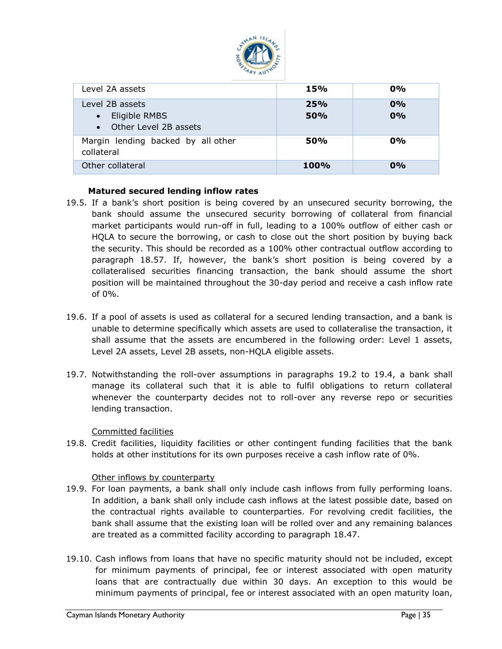

| Level 2A assets                                                          | <b>15%</b>        | $0\%$    |
|--------------------------------------------------------------------------|-------------------|----------|
| Level 2B assets<br>Eligible RMBS<br>$\bullet$<br>• Other Level 2B assets | 25%<br><b>50%</b> | 0%<br>0% |
| Margin lending backed by all other<br>collateral                         | <b>50%</b>        | $0\%$    |
| Other collateral                                                         | <b>100%</b>       | $0\%$    |

#### **Matured secured lending inflow rates**

- 19.5. If a bank's short position is being covered by an unsecured security borrowing, the bank should assume the unsecured security borrowing of collateral from financial market participants would run-off in full, leading to a 100% outflow of either cash or HQLA to secure the borrowing, or cash to close out the short position by buying back the security. This should be recorded as a 100% other contractual outflow according to paragraph 18.57. If, however, the bank's short position is being covered by a collateralised securities financing transaction, the bank should assume the short position will be maintained throughout the 30-day period and receive a cash inflow rate of 0%.
- shall assume that the assets are encumbered in the following order: Level 1 assets, 19.6. If a pool of assets is used as collateral for a secured lending transaction, and a bank is unable to determine specifically which assets are used to collateralise the transaction, it Level 2A assets, Level 2B assets, non-HQLA eligible assets.
- 19.7. Notwithstanding the roll-over assumptions in paragraphs 19.2 to 19.4, a bank shall manage its collateral such that it is able to fulfil obligations to return collateral whenever the counterparty decides not to roll-over any reverse repo or securities lending transaction.

#### Committed facilities

19.8. Credit facilities, liquidity facilities or other contingent funding facilities that the bank holds at other institutions for its own purposes receive a cash inflow rate of 0%.

#### Other inflows by counterparty

- <span id="page-34-1"></span><span id="page-34-0"></span>19.9. For loan payments, a bank shall only include cash inflows from fully performing loans. In addition, a bank shall only include cash inflows at the latest possible date, based on the contractual rights available to counterparties. For revolving credit facilities, the bank shall assume that the existing loan will be rolled over and any remaining balances are treated as a committed facility according to paragraph 18.47.
- 19.10. Cash inflows from loans that have no specific maturity should not be included, except for minimum payments of principal, fee or interest associated with open maturity loans that are contractually due within 30 days. An exception to this would be minimum payments of principal, fee or interest associated with an open maturity loan,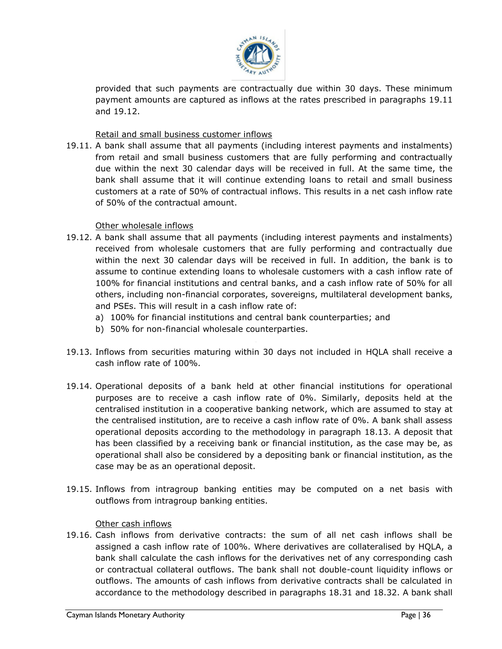

provided that such payments are contractually due within 30 days. These minimum payment amounts are captured as inflows at the rates prescribed in paragraphs 19.11 and 19.12.

Retail and small business customer inflows

<span id="page-35-0"></span>19.11. A bank shall assume that all payments (including interest payments and instalments) from retail and small business customers that are fully performing and contractually due within the next 30 calendar days will be received in full. At the same time, the bank shall assume that it will continue extending loans to retail and small business customers at a rate of 50% of contractual inflows. This results in a net cash inflow rate of 50% of the contractual amount.

Other wholesale inflows

- <span id="page-35-1"></span>19.12. A bank shall assume that all payments (including interest payments and instalments) received from wholesale customers that are fully performing and contractually due within the next 30 calendar days will be received in full. In addition, the bank is to assume to continue extending loans to wholesale customers with a cash inflow rate of 100% for financial institutions and central banks, and a cash inflow rate of 50% for all others, including non-financial corporates, sovereigns, multilateral development banks, and PSEs. This will result in a cash inflow rate of:
	- a) 100% for financial institutions and central bank counterparties; and
	- b) 50% for non-financial wholesale counterparties.
- 19.13. Inflows from securities maturing within 30 days not included in HQLA shall receive a cash inflow rate of 100%.
- 19.14. Operational deposits of a bank held at other financial institutions for operational purposes are to receive a cash inflow rate of 0%. Similarly, deposits held at the centralised institution in a cooperative banking network, which are assumed to stay at the centralised institution, are to receive a cash inflow rate of 0%. A bank shall assess operational deposits according to the methodology in paragraph 18.13. A deposit that has been classified by a receiving bank or financial institution, as the case may be, as operational shall also be considered by a depositing bank or financial institution, as the case may be as an operational deposit.
- 19.15. Inflows from intragroup banking entities may be computed on a net basis with outflows from intragroup banking entities.

Other cash inflows

<span id="page-35-2"></span>19.16. Cash inflows from derivative contracts: the sum of all net cash inflows shall be assigned a cash inflow rate of 100%. Where derivatives are collateralised by HQLA, a bank shall calculate the cash inflows for the derivatives net of any corresponding cash or contractual collateral outflows. The bank shall not double-count liquidity inflows or outflows. The amounts of cash inflows from derivative contracts shall be calculated in accordance to the methodology described in paragraphs 18.31 and 18.32. A bank shall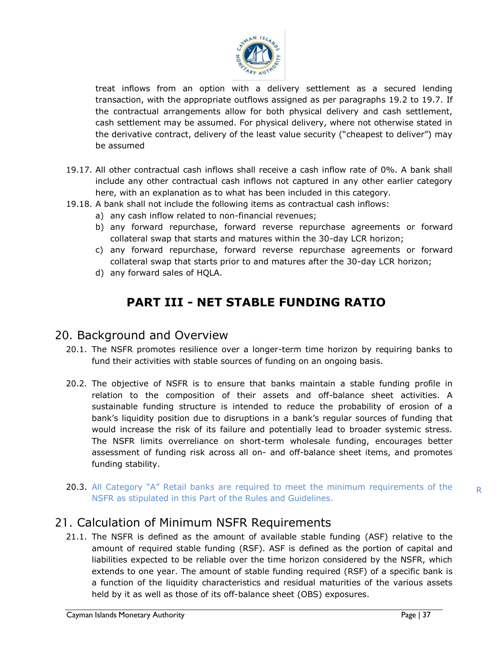

treat inflows from an option with a delivery settlement as a secured lending transaction, with the appropriate outflows assigned as per paragraphs 19.2 to 19.7. If the contractual arrangements allow for both physical delivery and cash settlement, cash settlement may be assumed. For physical delivery, where not otherwise stated in the derivative contract, delivery of the least value security ("cheapest to deliver") may be assumed

- 19.17. All other contractual cash inflows shall receive a cash inflow rate of 0%. A bank shall include any other contractual cash inflows not captured in any other earlier category here, with an explanation as to what has been included in this category.
- 19.18. A bank shall not include the following items as contractual cash inflows:
	- a) any cash inflow related to non-financial revenues;
	- b) any forward repurchase, forward reverse repurchase agreements or forward collateral swap that starts and matures within the 30-day LCR horizon;
	- c) any forward repurchase, forward reverse repurchase agreements or forward collateral swap that starts prior to and matures after the 30-day LCR horizon;
	- d) any forward sales of HQLA.

# **PART III - NET STABLE FUNDING RATIO**

### <span id="page-36-0"></span>20. Background and Overview

- 20.1. The NSFR promotes resilience over a longer-term time horizon by requiring banks to fund their activities with stable sources of funding on an ongoing basis.
- <span id="page-36-1"></span>20.2. The objective of NSFR is to ensure that banks maintain a stable funding profile in relation to the composition of their assets and off-balance sheet activities. A sustainable funding structure is intended to reduce the probability of erosion of a bank's liquidity position due to disruptions in a bank's regular sources of funding that would increase the risk of its failure and potentially lead to broader systemic stress. The NSFR limits overreliance on short-term wholesale funding, encourages better assessment of funding risk across all on- and off-balance sheet items, and promotes funding stability.
- 20.3. All Category "A" Retail banks are required to meet the minimum requirements of the NSFR as stipulated in this Part of the Rules and Guidelines.

# 21. Calculation of Minimum NSFR Requirements

<span id="page-36-2"></span>21.1. The NSFR is defined as the amount of available stable funding (ASF) relative to the amount of required stable funding (RSF). ASF is defined as the portion of capital and liabilities expected to be reliable over the time horizon considered by the NSFR, which extends to one year. The amount of stable funding required (RSF) of a specific bank is a function of the liquidity characteristics and residual maturities of the various assets held by it as well as those of its off-balance sheet (OBS) exposures.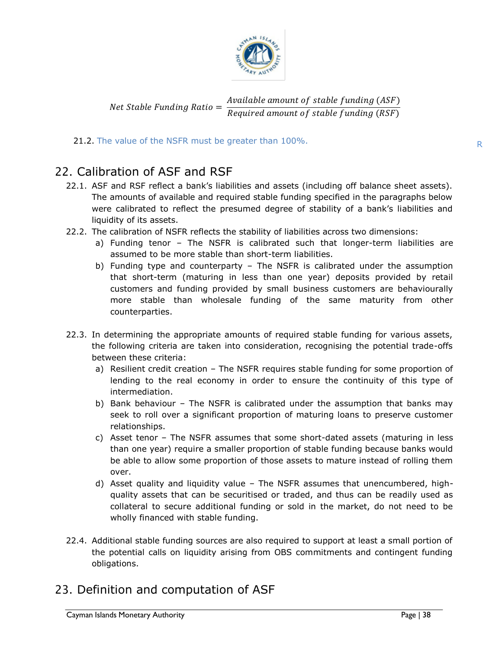

#### Net Stable Funding Ratio = Available amount of stable funding (ASF) Required amount of stable funding (RSF)

#### 21.2. The value of the NSFR must be greater than 100%.

# 22. Calibration of ASF and RSF

- 22.1. ASF and RSF reflect a bank's liabilities and assets (including off balance sheet assets). The amounts of available and required stable funding specified in the paragraphs below were calibrated to reflect the presumed degree of stability of a bank's liabilities and liquidity of its assets.
- <span id="page-37-0"></span>22.2. The calibration of NSFR reflects the stability of liabilities across two dimensions:
	- a) Funding tenor The NSFR is calibrated such that longer-term liabilities are assumed to be more stable than short-term liabilities.
	- b) Funding type and counterparty The NSFR is calibrated under the assumption that short-term (maturing in less than one year) deposits provided by retail customers and funding provided by small business customers are behaviourally more stable than wholesale funding of the same maturity from other counterparties.
- the following criteria are taken into consideration, recognising the potential trade-offs 22.3. In determining the appropriate amounts of required stable funding for various assets, between these criteria:
	- a) Resilient credit creation The NSFR requires stable funding for some proportion of lending to the real economy in order to ensure the continuity of this type of intermediation.
	- b) Bank behaviour The NSFR is calibrated under the assumption that banks may seek to roll over a significant proportion of maturing loans to preserve customer relationships.
	- c) Asset tenor The NSFR assumes that some short-dated assets (maturing in less than one year) require a smaller proportion of stable funding because banks would be able to allow some proportion of those assets to mature instead of rolling them over.
	- d) Asset quality and liquidity value The NSFR assumes that unencumbered, highquality assets that can be securitised or traded, and thus can be readily used as collateral to secure additional funding or sold in the market, do not need to be wholly financed with stable funding.
- 22.4. Additional stable funding sources are also required to support at least a small portion of the potential calls on liquidity arising from OBS commitments and contingent funding obligations.

# <span id="page-37-1"></span>23. Definition and computation of ASF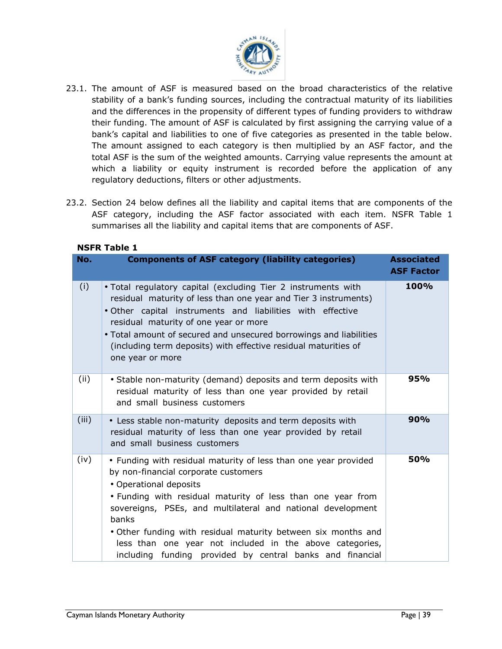

- 23.1. The amount of ASF is measured based on the broad characteristics of the relative stability of a bank's funding sources, including the contractual maturity of its liabilities and the differences in the propensity of different types of funding providers to withdraw their funding. The amount of ASF is calculated by first assigning the carrying value of a bank's capital and liabilities to one of five categories as presented in the table below. The amount assigned to each category is then multiplied by an ASF factor, and the total ASF is the sum of the weighted amounts. Carrying value represents the amount at which a liability or equity instrument is recorded before the application of any regulatory deductions, filters or other adjustments.
- 23.2. Section 24 below defines all the liability and capital items that are components of the ASF category, including the ASF factor associated with each item. NSFR Table 1 summarises all the liability and capital items that are components of ASF.

|       | мэгк таріе т                                                                                                                                                                                                                                                                                                                                                                                                                                                       |                                        |
|-------|--------------------------------------------------------------------------------------------------------------------------------------------------------------------------------------------------------------------------------------------------------------------------------------------------------------------------------------------------------------------------------------------------------------------------------------------------------------------|----------------------------------------|
| No.   | <b>Components of ASF category (liability categories)</b>                                                                                                                                                                                                                                                                                                                                                                                                           | <b>Associated</b><br><b>ASF Factor</b> |
| (i)   | . Total regulatory capital (excluding Tier 2 instruments with<br>residual maturity of less than one year and Tier 3 instruments)<br>. Other capital instruments and liabilities with effective<br>residual maturity of one year or more<br>. Total amount of secured and unsecured borrowings and liabilities<br>(including term deposits) with effective residual maturities of<br>one year or more                                                               | 100%                                   |
| (ii)  | • Stable non-maturity (demand) deposits and term deposits with<br>residual maturity of less than one year provided by retail<br>and small business customers                                                                                                                                                                                                                                                                                                       | 95%                                    |
| (iii) | • Less stable non-maturity deposits and term deposits with<br>residual maturity of less than one year provided by retail<br>and small business customers                                                                                                                                                                                                                                                                                                           | 90%                                    |
| (iv)  | • Funding with residual maturity of less than one year provided<br>by non-financial corporate customers<br>• Operational deposits<br>. Funding with residual maturity of less than one year from<br>sovereigns, PSEs, and multilateral and national development<br>banks<br>. Other funding with residual maturity between six months and<br>less than one year not included in the above categories,<br>including funding provided by central banks and financial | 50%                                    |

#### **NSFR Table 1**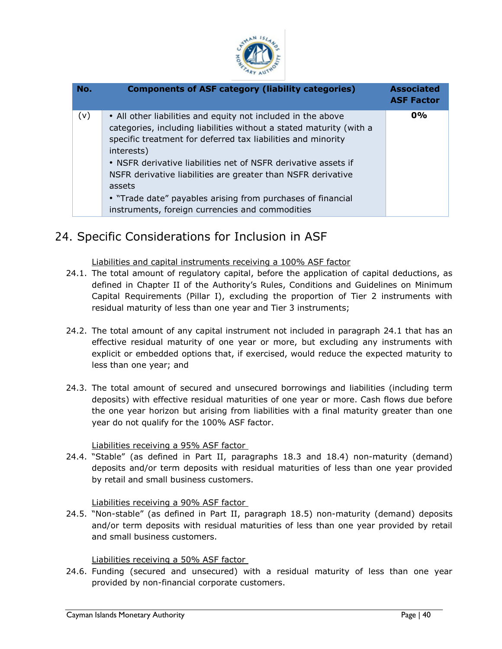

| No. | <b>Components of ASF category (liability categories)</b>                                                                                                                                                                                                                                                                                                                                                                                                                        | <b>Associated</b><br><b>ASF Factor</b> |
|-----|---------------------------------------------------------------------------------------------------------------------------------------------------------------------------------------------------------------------------------------------------------------------------------------------------------------------------------------------------------------------------------------------------------------------------------------------------------------------------------|----------------------------------------|
| (v) | • All other liabilities and equity not included in the above<br>categories, including liabilities without a stated maturity (with a<br>specific treatment for deferred tax liabilities and minority<br>interests)<br>• NSFR derivative liabilities net of NSFR derivative assets if<br>NSFR derivative liabilities are greater than NSFR derivative<br>assets<br>• "Trade date" payables arising from purchases of financial<br>instruments, foreign currencies and commodities | $0\%$                                  |

# 24. Specific Considerations for Inclusion in ASF

Liabilities and capital instruments receiving a 100% ASF factor

- <span id="page-39-0"></span>24.1. The total amount of regulatory capital, before the application of capital deductions, as defined in Chapter II of the Authority's Rules, Conditions and Guidelines on Minimum Capital Requirements (Pillar I), excluding the proportion of Tier 2 instruments with residual maturity of less than one year and Tier 3 instruments;
- <span id="page-39-1"></span>effective residual maturity of one year or more, but excluding any instruments with 24.2. The total amount of any capital instrument not included in paragraph 24.1 that has an explicit or embedded options that, if exercised, would reduce the expected maturity to less than one year; and
- 24.3. The total amount of secured and unsecured borrowings and liabilities (including term deposits) with effective residual maturities of one year or more. Cash flows due before the one year horizon but arising from liabilities with a final maturity greater than one year do not qualify for the 100% ASF factor.

Liabilities receiving a 95% ASF factor

24.4. "Stable" (as defined in Part II, paragraphs 18.3 and 18.4) non-maturity (demand) deposits and/or term deposits with residual maturities of less than one year provided by retail and small business customers.

Liabilities receiving a 90% ASF factor

<span id="page-39-2"></span>24.5. "Non-stable" (as defined in Part II, paragraph 18.5) non-maturity (demand) deposits and/or term deposits with residual maturities of less than one year provided by retail and small business customers.

Liabilities receiving a 50% ASF factor

<span id="page-39-4"></span><span id="page-39-3"></span>24.6. Funding (secured and unsecured) with a residual maturity of less than one year provided by non-financial corporate customers.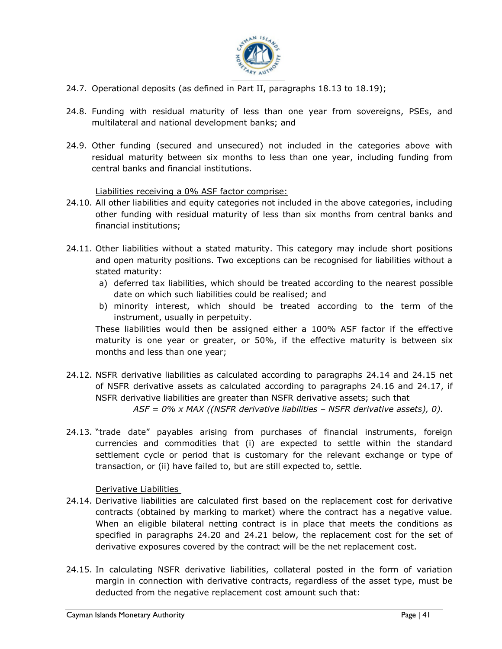

- 24.7. Operational deposits (as defined in Part II, paragraphs 18.13 to 18.19);
- 24.8. Funding with residual maturity of less than one year from sovereigns, PSEs, and multilateral and national development banks; and
- 24.9. Other funding (secured and unsecured) not included in the categories above with residual maturity between six months to less than one year, including funding from central banks and financial institutions.

Liabilities receiving a 0% ASF factor comprise:

- 24.10. All other liabilities and equity categories not included in the above categories, including other funding with residual maturity of less than six months from central banks and financial institutions;
- <span id="page-40-0"></span>24.11. Other liabilities without a stated maturity. This category may include short positions and open maturity positions. Two exceptions can be recognised for liabilities without a stated maturity:
	- a) deferred tax liabilities, which should be treated according to the nearest possible date on which such liabilities could be realised; and
	- b) minority interest, which should be treated according to the term of the instrument, usually in perpetuity.

maturity is one year or greater, or 50%, if the effective maturity is between six These liabilities would then be assigned either a 100% ASF factor if the effective months and less than one year;

- 24.12. NSFR derivative liabilities as calculated according to paragraphs 24.14 and 24.15 net of NSFR derivative assets as calculated according to paragraphs 24.16 and 24.17, if NSFR derivative liabilities are greater than NSFR derivative assets; such that *ASF = 0% x MAX ((NSFR derivative liabilities – NSFR derivative assets), 0).*
- 24.13. "trade date" payables arising from purchases of financial instruments, foreign currencies and commodities that (i) are expected to settle within the standard settlement cycle or period that is customary for the relevant exchange or type of transaction, or (ii) have failed to, but are still expected to, settle.

Derivative Liabilities

- <span id="page-40-1"></span>24.14. Derivative liabilities are calculated first based on the replacement cost for derivative contracts (obtained by marking to market) where the contract has a negative value. When an eligible bilateral netting contract is in place that meets the conditions as specified in paragraphs 24.20 and 24.21 below, the replacement cost for the set of derivative exposures covered by the contract will be the net replacement cost.
- 24.15. In calculating NSFR derivative liabilities, collateral posted in the form of variation margin in connection with derivative contracts, regardless of the asset type, must be deducted from the negative replacement cost amount such that: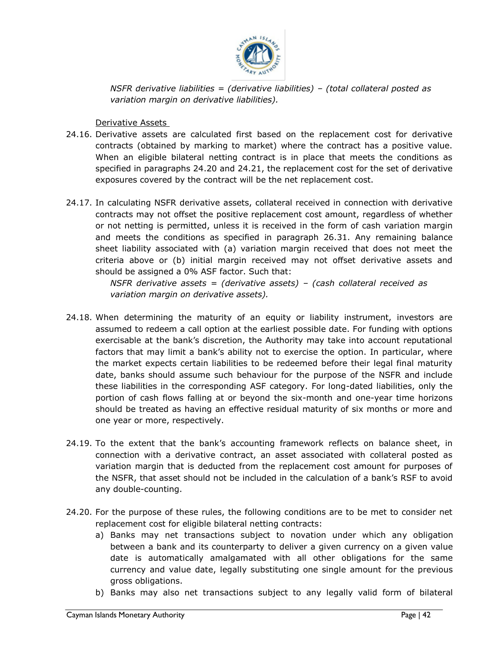

*NSFR derivative liabilities = (derivative liabilities) – (total collateral posted as variation margin on derivative liabilities).*

Derivative Assets

- <span id="page-41-0"></span>24.16. Derivative assets are calculated first based on the replacement cost for derivative contracts (obtained by marking to market) where the contract has a positive value. When an eligible bilateral netting contract is in place that meets the conditions as specified in paragraphs 24.20 and 24.21, the replacement cost for the set of derivative exposures covered by the contract will be the net replacement cost.
- 24.17. In calculating NSFR derivative assets, collateral received in connection with derivative contracts may not offset the positive replacement cost amount, regardless of whether or not netting is permitted, unless it is received in the form of cash variation margin and meets the conditions as specified in paragraph 26.31. Any remaining balance sheet liability associated with (a) variation margin received that does not meet the criteria above or (b) initial margin received may not offset derivative assets and should be assigned a 0% ASF factor. Such that:

*NSFR derivative assets = (derivative assets) – (cash collateral received as variation margin on derivative assets).*

- exercisable at the bank's discretion, the Authority may take into account reputational 24.18. When determining the maturity of an equity or liability instrument, investors are assumed to redeem a call option at the earliest possible date. For funding with options factors that may limit a bank's ability not to exercise the option. In particular, where the market expects certain liabilities to be redeemed before their legal final maturity date, banks should assume such behaviour for the purpose of the NSFR and include these liabilities in the corresponding ASF category. For long-dated liabilities, only the portion of cash flows falling at or beyond the six-month and one-year time horizons should be treated as having an effective residual maturity of six months or more and one year or more, respectively.
- 24.19. To the extent that the bank's accounting framework reflects on balance sheet, in connection with a derivative contract, an asset associated with collateral posted as variation margin that is deducted from the replacement cost amount for purposes of the NSFR, that asset should not be included in the calculation of a bank's RSF to avoid any double-counting.
- 24.20. For the purpose of these rules, the following conditions are to be met to consider net replacement cost for eligible bilateral netting contracts:
	- a) Banks may net transactions subject to novation under which any obligation between a bank and its counterparty to deliver a given currency on a given value date is automatically amalgamated with all other obligations for the same currency and value date, legally substituting one single amount for the previous gross obligations.
	- b) Banks may also net transactions subject to any legally valid form of bilateral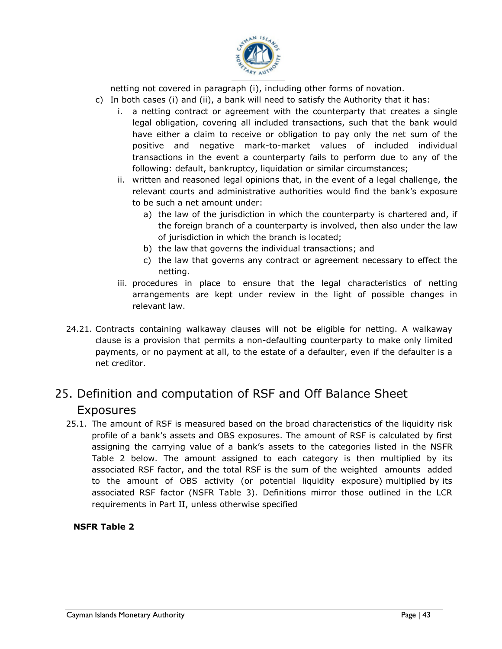

netting not covered in paragraph (i), including other forms of novation.

- c) In both cases (i) and (ii), a bank will need to satisfy the Authority that it has:
	- i. a netting contract or agreement with the counterparty that creates a single legal obligation, covering all included transactions, such that the bank would have either a claim to receive or obligation to pay only the net sum of the positive and negative mark-to-market values of included individual transactions in the event a counterparty fails to perform due to any of the following: default, bankruptcy, liquidation or similar circumstances;
	- ii. written and reasoned legal opinions that, in the event of a legal challenge, the relevant courts and administrative authorities would find the bank's exposure to be such a net amount under:
		- a) the law of the jurisdiction in which the counterparty is chartered and, if the foreign branch of a counterparty is involved, then also under the law of jurisdiction in which the branch is located;
		- b) the law that governs the individual transactions; and
		- c) the law that governs any contract or agreement necessary to effect the netting.
	- iii. procedures in place to ensure that the legal characteristics of netting arrangements are kept under review in the light of possible changes in relevant law.
- clause is a provision that permits a non-defaulting counterparty to make only limited 24.21. Contracts containing walkaway clauses will not be eligible for netting. A walkaway payments, or no payment at all, to the estate of a defaulter, even if the defaulter is a net creditor.

# 25. Definition and computation of RSF and Off Balance Sheet Exposures

<span id="page-42-0"></span>25.1. The amount of RSF is measured based on the broad characteristics of the liquidity risk profile of a bank's assets and OBS exposures. The amount of RSF is calculated by first assigning the carrying value of a bank's assets to the categories listed in the NSFR Table 2 below. The amount assigned to each category is then multiplied by its associated RSF factor, and the total RSF is the sum of the weighted amounts added to the amount of OBS activity (or potential liquidity exposure) multiplied by its associated RSF factor (NSFR Table 3). Definitions mirror those outlined in the LCR requirements in Part II, unless otherwise specified

#### **NSFR Table 2**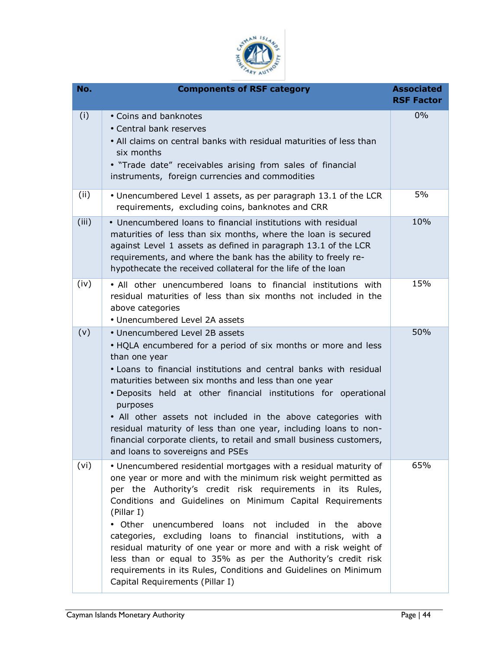

| No.   | <b>Components of RSF category</b>                                                                                                                                                                                                                                                                                                                                                                                                                                                                                                                                                                                                                | <b>Associated</b><br><b>RSF Factor</b> |
|-------|--------------------------------------------------------------------------------------------------------------------------------------------------------------------------------------------------------------------------------------------------------------------------------------------------------------------------------------------------------------------------------------------------------------------------------------------------------------------------------------------------------------------------------------------------------------------------------------------------------------------------------------------------|----------------------------------------|
| (i)   | • Coins and banknotes<br>• Central bank reserves<br>• All claims on central banks with residual maturities of less than<br>six months<br>. "Trade date" receivables arising from sales of financial<br>instruments, foreign currencies and commodities                                                                                                                                                                                                                                                                                                                                                                                           | 0%                                     |
| (ii)  | • Unencumbered Level 1 assets, as per paragraph 13.1 of the LCR<br>requirements, excluding coins, banknotes and CRR                                                                                                                                                                                                                                                                                                                                                                                                                                                                                                                              | 5%                                     |
| (iii) | • Unencumbered loans to financial institutions with residual<br>maturities of less than six months, where the loan is secured<br>against Level 1 assets as defined in paragraph 13.1 of the LCR<br>requirements, and where the bank has the ability to freely re-<br>hypothecate the received collateral for the life of the loan                                                                                                                                                                                                                                                                                                                | 10%                                    |
| (iv)  | . All other unencumbered loans to financial institutions with<br>residual maturities of less than six months not included in the<br>above categories<br>• Unencumbered Level 2A assets                                                                                                                                                                                                                                                                                                                                                                                                                                                           | 15%                                    |
| (v)   | • Unencumbered Level 2B assets<br>. HQLA encumbered for a period of six months or more and less<br>than one year<br>. Loans to financial institutions and central banks with residual<br>maturities between six months and less than one year<br>. Deposits held at other financial institutions for operational<br>purposes<br>. All other assets not included in the above categories with<br>residual maturity of less than one year, including loans to non-<br>financial corporate clients, to retail and small business customers,<br>and loans to sovereigns and PSEs                                                                     | 50%                                    |
| (vi)  | • Unencumbered residential mortgages with a residual maturity of<br>one year or more and with the minimum risk weight permitted as<br>per the Authority's credit risk requirements in its Rules,<br>Conditions and Guidelines on Minimum Capital Requirements<br>(Pillar I)<br>• Other unencumbered loans not included in the<br>above<br>categories, excluding loans to financial institutions, with a<br>residual maturity of one year or more and with a risk weight of<br>less than or equal to 35% as per the Authority's credit risk<br>requirements in its Rules, Conditions and Guidelines on Minimum<br>Capital Requirements (Pillar I) | 65%                                    |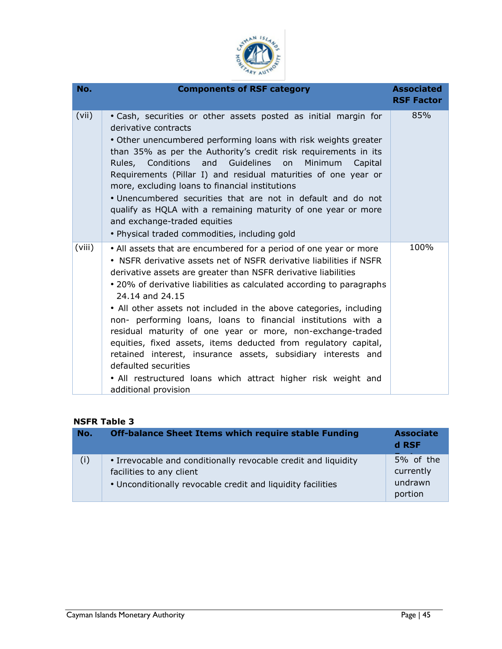

| No.    | <b>Components of RSF category</b>                                                                                                                                                                                                                                                                                                                                                                                                                                                                                                                                                                                                                                                                                                                                | <b>Associated</b><br><b>RSF Factor</b> |
|--------|------------------------------------------------------------------------------------------------------------------------------------------------------------------------------------------------------------------------------------------------------------------------------------------------------------------------------------------------------------------------------------------------------------------------------------------------------------------------------------------------------------------------------------------------------------------------------------------------------------------------------------------------------------------------------------------------------------------------------------------------------------------|----------------------------------------|
| (vii)  | . Cash, securities or other assets posted as initial margin for<br>derivative contracts<br>• Other unencumbered performing loans with risk weights greater<br>than 35% as per the Authority's credit risk requirements in its<br>Rules, Conditions and Guidelines<br>Minimum<br>on<br>Capital<br>Requirements (Pillar I) and residual maturities of one year or<br>more, excluding loans to financial institutions<br>• Unencumbered securities that are not in default and do not<br>qualify as HQLA with a remaining maturity of one year or more<br>and exchange-traded equities<br>· Physical traded commodities, including gold                                                                                                                             | 85%                                    |
| (viii) | • All assets that are encumbered for a period of one year or more<br>• NSFR derivative assets net of NSFR derivative liabilities if NSFR<br>derivative assets are greater than NSFR derivative liabilities<br>• 20% of derivative liabilities as calculated according to paragraphs<br>24.14 and 24.15<br>• All other assets not included in the above categories, including<br>non- performing loans, loans to financial institutions with a<br>residual maturity of one year or more, non-exchange-traded<br>equities, fixed assets, items deducted from regulatory capital,<br>retained interest, insurance assets, subsidiary interests and<br>defaulted securities<br>. All restructured loans which attract higher risk weight and<br>additional provision | 100%                                   |

#### **NSFR Table 3**

| No. | <b>Off-balance Sheet Items which require stable Funding</b>                                                                                               | <b>Associate</b><br>d RSF                    |
|-----|-----------------------------------------------------------------------------------------------------------------------------------------------------------|----------------------------------------------|
| (i) | • Irrevocable and conditionally revocable credit and liquidity<br>facilities to any client<br>• Unconditionally revocable credit and liquidity facilities | 5% of the<br>currently<br>undrawn<br>portion |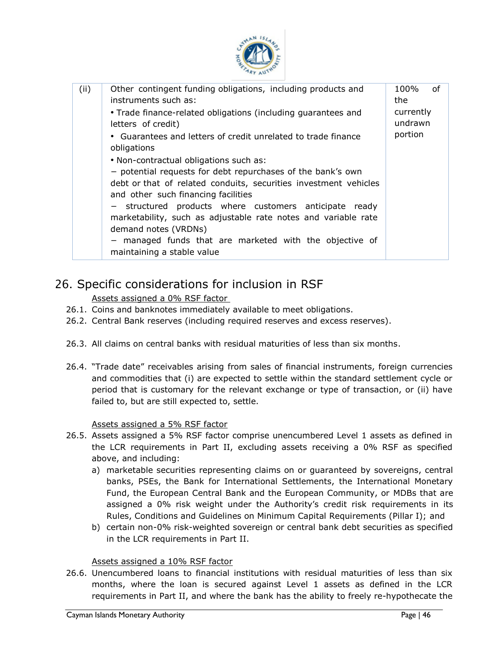

| (ii) | Other contingent funding obligations, including products and<br>instruments such as:<br>. Trade finance-related obligations (including guarantees and<br>letters of credit)<br>• Guarantees and letters of credit unrelated to trade finance<br>obligations                                                                                                                                                                                                   | 100%<br>οf<br>the<br>currently<br>undrawn<br>portion |
|------|---------------------------------------------------------------------------------------------------------------------------------------------------------------------------------------------------------------------------------------------------------------------------------------------------------------------------------------------------------------------------------------------------------------------------------------------------------------|------------------------------------------------------|
|      | . Non-contractual obligations such as:<br>- potential requests for debt repurchases of the bank's own<br>debt or that of related conduits, securities investment vehicles<br>and other such financing facilities<br>- structured products where customers anticipate ready<br>marketability, such as adjustable rate notes and variable rate<br>demand notes (VRDNs)<br>- managed funds that are marketed with the objective of<br>maintaining a stable value |                                                      |

# 26. Specific considerations for inclusion in RSF

Assets assigned a 0% RSF factor

- 26.1. Coins and banknotes immediately available to meet obligations.
- <span id="page-45-0"></span>26.2. Central Bank reserves (including required reserves and excess reserves).
- <span id="page-45-1"></span>26.3. All claims on central banks with residual maturities of less than six months.
- 26.4. "Trade date" receivables arising from sales of financial instruments, foreign currencies and commodities that (i) are expected to settle within the standard settlement cycle or period that is customary for the relevant exchange or type of transaction, or (ii) have failed to, but are still expected to, settle.

Assets assigned a 5% RSF factor

- <span id="page-45-2"></span>26.5. Assets assigned a 5% RSF factor comprise unencumbered Level 1 assets as defined in the LCR requirements in Part II, excluding assets receiving a 0% RSF as specified above, and including:
	- a) marketable securities representing claims on or guaranteed by sovereigns, central banks, PSEs, the Bank for International Settlements, the International Monetary Fund, the European Central Bank and the European Community, or MDBs that are assigned a 0% risk weight under the Authority's credit risk requirements in its Rules, Conditions and Guidelines on Minimum Capital Requirements (Pillar I); and
	- b) certain non-0% risk-weighted sovereign or central bank debt securities as specified in the LCR requirements in Part II.

#### Assets assigned a 10% RSF factor

<span id="page-45-3"></span>26.6. Unencumbered loans to financial institutions with residual maturities of less than six months, where the loan is secured against Level 1 assets as defined in the LCR requirements in Part II, and where the bank has the ability to freely re-hypothecate the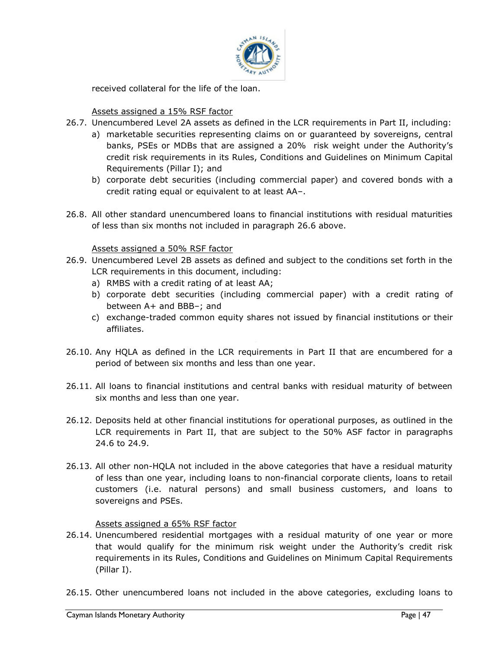

received collateral for the life of the loan.

#### Assets assigned a 15% RSF factor

- <span id="page-46-0"></span>26.7. Unencumbered Level 2A assets as defined in the LCR requirements in Part II, including:
	- a) marketable securities representing claims on or guaranteed by sovereigns, central banks, PSEs or MDBs that are assigned a 20% risk weight under the Authority's credit risk requirements in its Rules, Conditions and Guidelines on Minimum Capital Requirements (Pillar I); and
	- b) corporate debt securities (including commercial paper) and covered bonds with a credit rating equal or equivalent to at least AA–.
- 26.8. All other standard unencumbered loans to financial institutions with residual maturities of less than six months not included in paragraph 26.6 above.

#### Assets assigned a 50% RSF factor

- <span id="page-46-1"></span>26.9. Unencumbered Level 2B assets as defined and subject to the conditions set forth in the LCR requirements in this document, including:
	- a) RMBS with a credit rating of at least AA;
	- b) corporate debt securities (including commercial paper) with a credit rating of between A+ and BBB–; and
	- c) exchange-traded common equity shares not issued by financial institutions or their affiliates.
- 26.10. Any HQLA as defined in the LCR requirements in Part II that are encumbered for a period of between six months and less than one year.
- 26.11. All loans to financial institutions and central banks with residual maturity of between six months and less than one year.
- 26.12. Deposits held at other financial institutions for operational purposes, as outlined in the LCR requirements in Part II, that are subject to the 50% ASF factor in paragraphs 24.6 to 24.9.
- 26.13. All other non-HQLA not included in the above categories that have a residual maturity of less than one year, including loans to non-financial corporate clients, loans to retail customers (i.e. natural persons) and small business customers, and loans to sovereigns and PSEs.

#### Assets assigned a 65% RSF factor

- 26.14. Unencumbered residential mortgages with a residual maturity of one year or more that would qualify for the minimum risk weight under the Authority's credit risk requirements in its Rules, Conditions and Guidelines on Minimum Capital Requirements (Pillar I).
- <span id="page-46-2"></span>26.15. Other unencumbered loans not included in the above categories, excluding loans to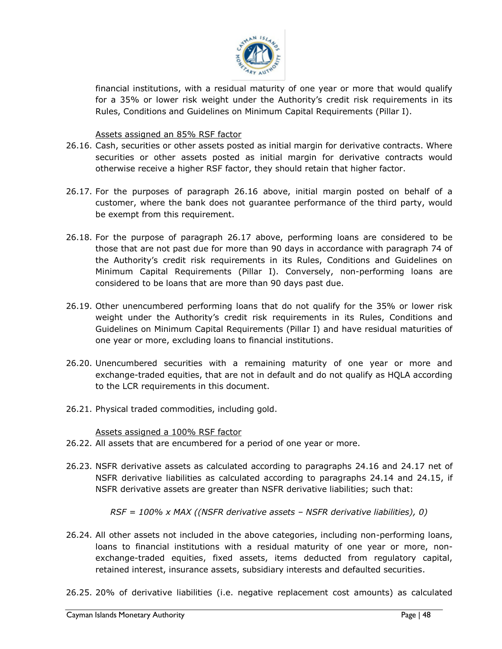

financial institutions, with a residual maturity of one year or more that would qualify for a 35% or lower risk weight under the Authority's credit risk requirements in its Rules, Conditions and Guidelines on Minimum Capital Requirements (Pillar I).

#### Assets assigned an 85% RSF factor

- 26.16. Cash, securities or other assets posted as initial margin for derivative contracts. Where securities or other assets posted as initial margin for derivative contracts would otherwise receive a higher RSF factor, they should retain that higher factor.
- <span id="page-47-0"></span>26.17. For the purposes of paragraph 26.16 above, initial margin posted on behalf of a customer, where the bank does not guarantee performance of the third party, would be exempt from this requirement.
- 26.18. For the purpose of paragraph 26.17 above, performing loans are considered to be those that are not past due for more than 90 days in accordance with paragraph 74 of the Authority's credit risk requirements in its Rules, Conditions and Guidelines on Minimum Capital Requirements (Pillar I). Conversely, non-performing loans are considered to be loans that are more than 90 days past due.
- one year or more, excluding loans to financial institutions. 26.19. Other unencumbered performing loans that do not qualify for the 35% or lower risk weight under the Authority's credit risk requirements in its Rules, Conditions and Guidelines on Minimum Capital Requirements (Pillar I) and have residual maturities of
- 26.20. Unencumbered securities with a remaining maturity of one year or more and exchange-traded equities, that are not in default and do not qualify as HQLA according to the LCR requirements in this document.
- 26.21. Physical traded commodities, including gold.

Assets assigned a 100% RSF factor

- 26.22. All assets that are encumbered for a period of one year or more.
- <span id="page-47-1"></span>26.23. NSFR derivative assets as calculated according to paragraphs 24.16 and 24.17 net of NSFR derivative liabilities as calculated according to paragraphs 24.14 and 24.15, if NSFR derivative assets are greater than NSFR derivative liabilities; such that:

*RSF = 100% x MAX ((NSFR derivative assets – NSFR derivative liabilities), 0)*

- 26.24. All other assets not included in the above categories, including non-performing loans, loans to financial institutions with a residual maturity of one year or more, nonexchange-traded equities, fixed assets, items deducted from regulatory capital, retained interest, insurance assets, subsidiary interests and defaulted securities.
- 26.25. 20% of derivative liabilities (i.e. negative replacement cost amounts) as calculated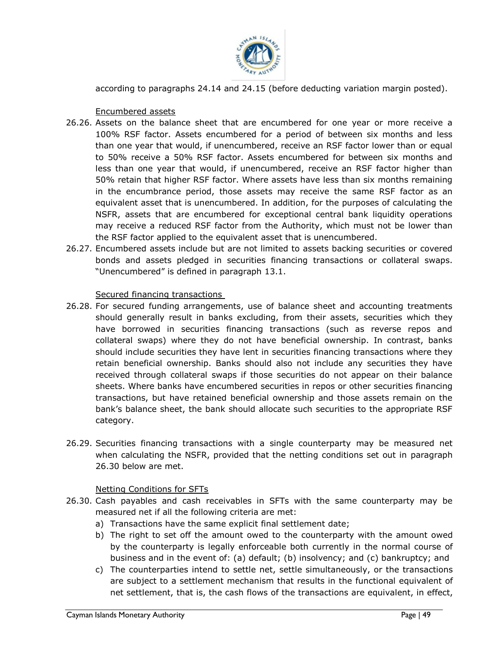

according to paragraphs 24.14 and 24.15 (before deducting variation margin posted).

Encumbered assets

- <span id="page-48-0"></span>26.26. Assets on the balance sheet that are encumbered for one year or more receive a 100% RSF factor. Assets encumbered for a period of between six months and less than one year that would, if unencumbered, receive an RSF factor lower than or equal to 50% receive a 50% RSF factor. Assets encumbered for between six months and less than one year that would, if unencumbered, receive an RSF factor higher than 50% retain that higher RSF factor. Where assets have less than six months remaining in the encumbrance period, those assets may receive the same RSF factor as an equivalent asset that is unencumbered. In addition, for the purposes of calculating the NSFR, assets that are encumbered for exceptional central bank liquidity operations may receive a reduced RSF factor from the Authority, which must not be lower than the RSF factor applied to the equivalent asset that is unencumbered.
- 26.27. Encumbered assets include but are not limited to assets backing securities or covered bonds and assets pledged in securities financing transactions or collateral swaps. "Unencumbered" is defined in paragraph 13.1.

#### Secured financing transactions

- <span id="page-48-1"></span>collateral swaps) where they do not have beneficial ownership. In contrast, banks 26.28. For secured funding arrangements, use of balance sheet and accounting treatments should generally result in banks excluding, from their assets, securities which they have borrowed in securities financing transactions (such as reverse repos and should include securities they have lent in securities financing transactions where they retain beneficial ownership. Banks should also not include any securities they have received through collateral swaps if those securities do not appear on their balance sheets. Where banks have encumbered securities in repos or other securities financing transactions, but have retained beneficial ownership and those assets remain on the bank's balance sheet, the bank should allocate such securities to the appropriate RSF category.
- 26.29. Securities financing transactions with a single counterparty may be measured net when calculating the NSFR, provided that the netting conditions set out in paragraph 26.30 below are met.

#### Netting Conditions for SFTs

- <span id="page-48-2"></span>26.30. Cash payables and cash receivables in SFTs with the same counterparty may be measured net if all the following criteria are met:
	- a) Transactions have the same explicit final settlement date;
	- b) The right to set off the amount owed to the counterparty with the amount owed by the counterparty is legally enforceable both currently in the normal course of business and in the event of: (a) default; (b) insolvency; and (c) bankruptcy; and
	- c) The counterparties intend to settle net, settle simultaneously, or the transactions are subject to a settlement mechanism that results in the functional equivalent of net settlement, that is, the cash flows of the transactions are equivalent, in effect,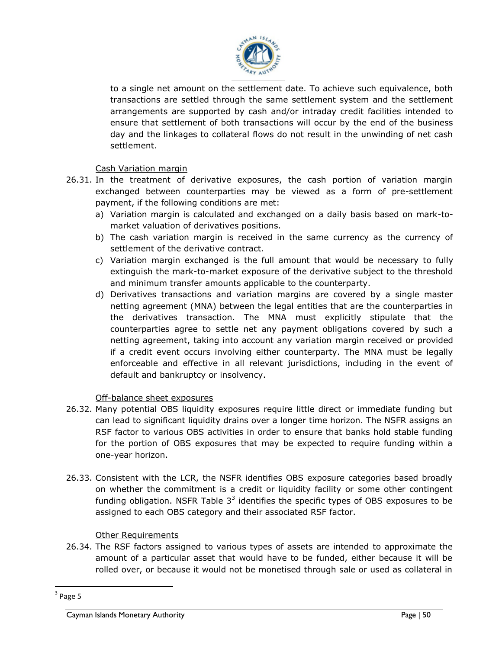

to a single net amount on the settlement date. To achieve such equivalence, both transactions are settled through the same settlement system and the settlement arrangements are supported by cash and/or intraday credit facilities intended to ensure that settlement of both transactions will occur by the end of the business day and the linkages to collateral flows do not result in the unwinding of net cash settlement.

#### Cash Variation margin

- <span id="page-49-0"></span>26.31. In the treatment of derivative exposures, the cash portion of variation margin exchanged between counterparties may be viewed as a form of pre-settlement payment, if the following conditions are met:
	- a) Variation margin is calculated and exchanged on a daily basis based on mark-tomarket valuation of derivatives positions.
	- b) The cash variation margin is received in the same currency as the currency of settlement of the derivative contract.
	- c) Variation margin exchanged is the full amount that would be necessary to fully extinguish the mark-to-market exposure of the derivative subject to the threshold and minimum transfer amounts applicable to the counterparty.
	- netting agreement, taking into account any variation margin received or provided d) Derivatives transactions and variation margins are covered by a single master netting agreement (MNA) between the legal entities that are the counterparties in the derivatives transaction. The MNA must explicitly stipulate that the counterparties agree to settle net any payment obligations covered by such a if a credit event occurs involving either counterparty. The MNA must be legally enforceable and effective in all relevant jurisdictions, including in the event of default and bankruptcy or insolvency.

#### Off-balance sheet exposures

- <span id="page-49-1"></span>26.32. Many potential OBS liquidity exposures require little direct or immediate funding but can lead to significant liquidity drains over a longer time horizon. The NSFR assigns an RSF factor to various OBS activities in order to ensure that banks hold stable funding for the portion of OBS exposures that may be expected to require funding within a one-year horizon.
- 26.33. Consistent with the LCR, the NSFR identifies OBS exposure categories based broadly on whether the commitment is a credit or liquidity facility or some other contingent funding obligation. NSFR Table  $3<sup>3</sup>$  identifies the specific types of OBS exposures to be assigned to each OBS category and their associated RSF factor.

#### Other Requirements

26.34. The RSF factors assigned to various types of assets are intended to approximate the amount of a particular asset that would have to be funded, either because it will be rolled over, or because it would not be monetised through sale or used as collateral in

<span id="page-49-2"></span> $\overline{a}$ 

 $3$  Page 5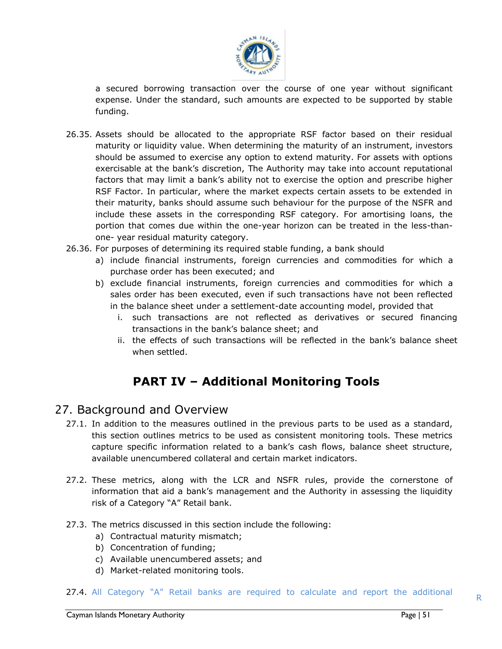

a secured borrowing transaction over the course of one year without significant expense. Under the standard, such amounts are expected to be supported by stable funding.

- 26.35. Assets should be allocated to the appropriate RSF factor based on their residual maturity or liquidity value. When determining the maturity of an instrument, investors should be assumed to exercise any option to extend maturity. For assets with options exercisable at the bank's discretion, The Authority may take into account reputational factors that may limit a bank's ability not to exercise the option and prescribe higher RSF Factor. In particular, where the market expects certain assets to be extended in their maturity, banks should assume such behaviour for the purpose of the NSFR and include these assets in the corresponding RSF category. For amortising loans, the portion that comes due within the one-year horizon can be treated in the less-thanone- year residual maturity category.
- 26.36. For purposes of determining its required stable funding, a bank should
	- a) include financial instruments, foreign currencies and commodities for which a purchase order has been executed; and
	- b) exclude financial instruments, foreign currencies and commodities for which a sales order has been executed, even if such transactions have not been reflected in the balance sheet under a settlement-date accounting model, provided that
		- i. such transactions are not reflected as derivatives or secured financing transactions in the bank's balance sheet; and
		- ii. the effects of such transactions will be reflected in the bank's balance sheet when settled.

# **PART IV – Additional Monitoring Tools**

### <span id="page-50-0"></span>27. Background and Overview

- <span id="page-50-1"></span>27.1. In addition to the measures outlined in the previous parts to be used as a standard, this section outlines metrics to be used as consistent monitoring tools. These metrics capture specific information related to a bank's cash flows, balance sheet structure, available unencumbered collateral and certain market indicators.
- 27.2. These metrics, along with the LCR and NSFR rules, provide the cornerstone of information that aid a bank's management and the Authority in assessing the liquidity risk of a Category "A" Retail bank.
- 27.3. The metrics discussed in this section include the following:
	- a) Contractual maturity mismatch;
	- b) Concentration of funding;
	- c) Available unencumbered assets; and
	- d) Market-related monitoring tools.

#### 27.4. All Category "A" Retail banks are required to calculate and report the additional  $R$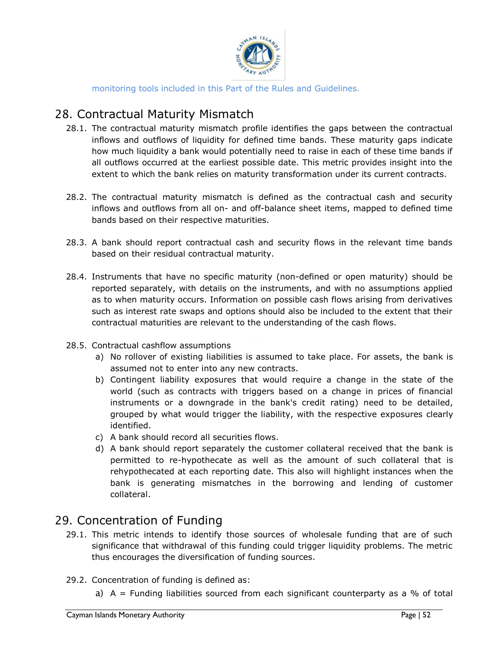

monitoring tools included in this Part of the Rules and Guidelines.

# 28. Contractual Maturity Mismatch

- <span id="page-51-0"></span>28.1. The contractual maturity mismatch profile identifies the gaps between the contractual inflows and outflows of liquidity for defined time bands. These maturity gaps indicate how much liquidity a bank would potentially need to raise in each of these time bands if all outflows occurred at the earliest possible date. This metric provides insight into the extent to which the bank relies on maturity transformation under its current contracts.
- 28.2. The contractual maturity mismatch is defined as the contractual cash and security inflows and outflows from all on- and off-balance sheet items, mapped to defined time bands based on their respective maturities.
- 28.3. A bank should report contractual cash and security flows in the relevant time bands based on their residual contractual maturity.
- 28.4. Instruments that have no specific maturity (non-defined or open maturity) should be reported separately, with details on the instruments, and with no assumptions applied as to when maturity occurs. Information on possible cash flows arising from derivatives such as interest rate swaps and options should also be included to the extent that their contractual maturities are relevant to the understanding of the cash flows.
- 28.5. Contractual cashflow assumptions
	- a) No rollover of existing liabilities is assumed to take place. For assets, the bank is assumed not to enter into any new contracts.
	- b) Contingent liability exposures that would require a change in the state of the world (such as contracts with triggers based on a change in prices of financial instruments or a downgrade in the bank's credit rating) need to be detailed, grouped by what would trigger the liability, with the respective exposures clearly identified.
	- c) A bank should record all securities flows.
	- d) A bank should report separately the customer collateral received that the bank is permitted to re-hypothecate as well as the amount of such collateral that is rehypothecated at each reporting date. This also will highlight instances when the bank is generating mismatches in the borrowing and lending of customer collateral.

### 29. Concentration of Funding

- 29.1. This metric intends to identify those sources of wholesale funding that are of such significance that withdrawal of this funding could trigger liquidity problems. The metric thus encourages the diversification of funding sources.
- <span id="page-51-1"></span>29.2. Concentration of funding is defined as:
	- a)  $A =$  Funding liabilities sourced from each significant counterparty as a % of total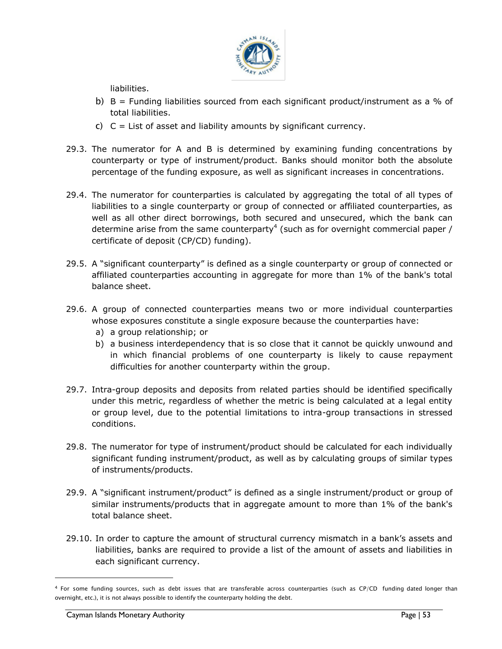

liabilities.

- b)  $B =$  Funding liabilities sourced from each significant product/instrument as a % of total liabilities.
- c)  $C =$  List of asset and liability amounts by significant currency.
- 29.3. The numerator for A and B is determined by examining funding concentrations by counterparty or type of instrument/product. Banks should monitor both the absolute percentage of the funding exposure, as well as significant increases in concentrations.
- 29.4. The numerator for counterparties is calculated by aggregating the total of all types of liabilities to a single counterparty or group of connected or affiliated counterparties, as well as all other direct borrowings, both secured and unsecured, which the bank can determine arise from the same counterparty<sup>4</sup> (such as for overnight commercial paper / certificate of deposit (CP/CD) funding).
- 29.5. A "significant counterparty" is defined as a single counterparty or group of connected or affiliated counterparties accounting in aggregate for more than 1% of the bank's total balance sheet.
- 29.6. A group of connected counterparties means two or more individual counterparties whose exposures constitute a single exposure because the counterparties have:
	- a) a group relationship; or
	- b) a business interdependency that is so close that it cannot be quickly unwound and in which financial problems of one counterparty is likely to cause repayment difficulties for another counterparty within the group.
- 29.7. Intra-group deposits and deposits from related parties should be identified specifically under this metric, regardless of whether the metric is being calculated at a legal entity or group level, due to the potential limitations to intra-group transactions in stressed conditions.
- 29.8. The numerator for type of instrument/product should be calculated for each individually significant funding instrument/product, as well as by calculating groups of similar types of instruments/products.
- 29.9. A "significant instrument/product" is defined as a single instrument/product or group of similar instruments/products that in aggregate amount to more than 1% of the bank's total balance sheet.
- 29.10. In order to capture the amount of structural currency mismatch in a bank's assets and liabilities, banks are required to provide a list of the amount of assets and liabilities in each significant currency.

 $\overline{a}$ 

<sup>4</sup> For some funding sources, such as debt issues that are transferable across counterparties (such as CP/CD funding dated longer than overnight, etc.), it is not always possible to identify the counterparty holding the debt.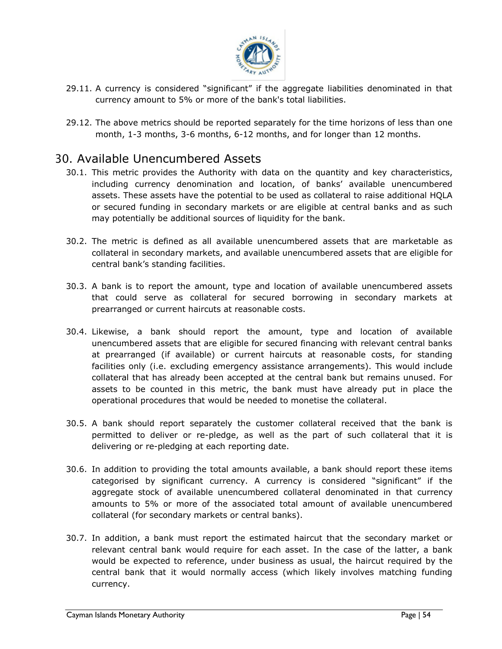

- 29.11. A currency is considered "significant" if the aggregate liabilities denominated in that currency amount to 5% or more of the bank's total liabilities.
- 29.12. The above metrics should be reported separately for the time horizons of less than one month, 1-3 months, 3-6 months, 6-12 months, and for longer than 12 months.

# 30. Available Unencumbered Assets

- <span id="page-53-0"></span>30.1. This metric provides the Authority with data on the quantity and key characteristics, including currency denomination and location, of banks' available unencumbered assets. These assets have the potential to be used as collateral to raise additional HQLA or secured funding in secondary markets or are eligible at central banks and as such may potentially be additional sources of liquidity for the bank.
- 30.2. The metric is defined as all available unencumbered assets that are marketable as collateral in secondary markets, and available unencumbered assets that are eligible for central bank's standing facilities.
- 30.3. A bank is to report the amount, type and location of available unencumbered assets that could serve as collateral for secured borrowing in secondary markets at prearranged or current haircuts at reasonable costs.
- unencumbered assets that are eligible for secured financing with relevant central banks 30.4. Likewise, a bank should report the amount, type and location of available at prearranged (if available) or current haircuts at reasonable costs, for standing facilities only (i.e. excluding emergency assistance arrangements). This would include collateral that has already been accepted at the central bank but remains unused. For assets to be counted in this metric, the bank must have already put in place the operational procedures that would be needed to monetise the collateral.
- 30.5. A bank should report separately the customer collateral received that the bank is permitted to deliver or re-pledge, as well as the part of such collateral that it is delivering or re-pledging at each reporting date.
- 30.6. In addition to providing the total amounts available, a bank should report these items categorised by significant currency. A currency is considered "significant" if the aggregate stock of available unencumbered collateral denominated in that currency amounts to 5% or more of the associated total amount of available unencumbered collateral (for secondary markets or central banks).
- 30.7. In addition, a bank must report the estimated haircut that the secondary market or relevant central bank would require for each asset. In the case of the latter, a bank would be expected to reference, under business as usual, the haircut required by the central bank that it would normally access (which likely involves matching funding currency.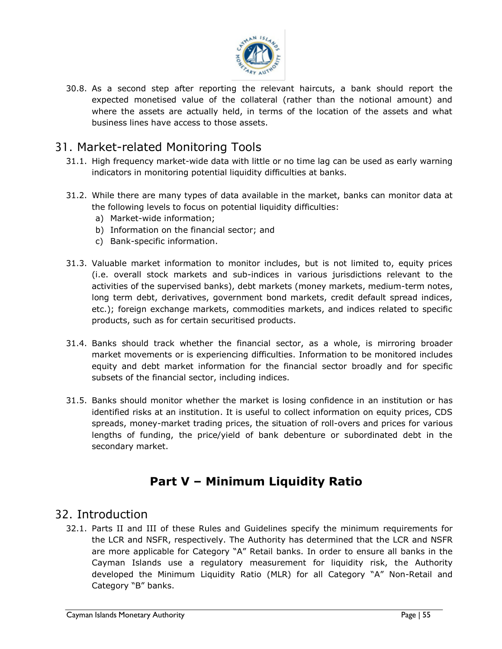

30.8. As a second step after reporting the relevant haircuts, a bank should report the expected monetised value of the collateral (rather than the notional amount) and where the assets are actually held, in terms of the location of the assets and what business lines have access to those assets.

# 31. Market-related Monitoring Tools

- 31.1. High frequency market-wide data with little or no time lag can be used as early warning indicators in monitoring potential liquidity difficulties at banks.
- <span id="page-54-0"></span>31.2. While there are many types of data available in the market, banks can monitor data at the following levels to focus on potential liquidity difficulties:
	- a) Market-wide information;
	- b) Information on the financial sector; and
	- c) Bank-specific information.
- 31.3. Valuable market information to monitor includes, but is not limited to, equity prices (i.e. overall stock markets and sub-indices in various jurisdictions relevant to the activities of the supervised banks), debt markets (money markets, medium-term notes, long term debt, derivatives, government bond markets, credit default spread indices, etc.); foreign exchange markets, commodities markets, and indices related to specific products, such as for certain securitised products.
- 31.4. Banks should track whether the financial sector, as a whole, is mirroring broader market movements or is experiencing difficulties. Information to be monitored includes equity and debt market information for the financial sector broadly and for specific subsets of the financial sector, including indices.
- 31.5. Banks should monitor whether the market is losing confidence in an institution or has identified risks at an institution. It is useful to collect information on equity prices, CDS spreads, money-market trading prices, the situation of roll-overs and prices for various lengths of funding, the price/yield of bank debenture or subordinated debt in the secondary market.

# **Part V – Minimum Liquidity Ratio**

# <span id="page-54-1"></span>32. Introduction

<span id="page-54-2"></span>32.1. Parts II and III of these Rules and Guidelines specify the minimum requirements for the LCR and NSFR, respectively. The Authority has determined that the LCR and NSFR are more applicable for Category "A" Retail banks. In order to ensure all banks in the Cayman Islands use a regulatory measurement for liquidity risk, the Authority developed the Minimum Liquidity Ratio (MLR) for all Category "A" Non-Retail and Category "B" banks.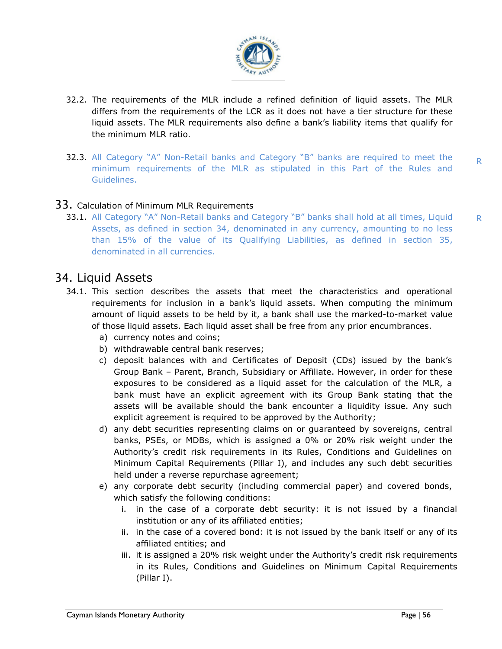

- <span id="page-55-0"></span>32.2. The requirements of the MLR include a refined definition of liquid assets. The MLR differs from the requirements of the LCR as it does not have a tier structure for these liquid assets. The MLR requirements also define a bank's liability items that qualify for the minimum MLR ratio.
- 32.3. All Category "A" Non-Retail banks and Category "B" banks are required to meet the minimum requirements of the MLR as stipulated in this Part of the Rules and Guidelines.

#### 33. Calculation of Minimum MLR Requirements

33.1. All Category "A" Non-Retail banks and Category "B" banks shall hold at all times, Liquid Assets, as defined in section 34, denominated in any currency, amounting to no less than 15% of the value of its Qualifying Liabilities, as defined in section 35, denominated in all currencies.

### 34. Liquid Assets

- <span id="page-55-1"></span>34.1. This section describes the assets that meet the characteristics and operational requirements for inclusion in a bank's liquid assets. When computing the minimum amount of liquid assets to be held by it, a bank shall use the marked-to-market value of those liquid assets. Each liquid asset shall be free from any prior encumbrances.
	- a) currency notes and coins;
	- b) withdrawable central bank reserves;
	- c) deposit balances with and Certificates of Deposit (CDs) issued by the bank's Group Bank – Parent, Branch, Subsidiary or Affiliate. However, in order for these exposures to be considered as a liquid asset for the calculation of the MLR, a bank must have an explicit agreement with its Group Bank stating that the assets will be available should the bank encounter a liquidity issue. Any such explicit agreement is required to be approved by the Authority;
	- d) any debt securities representing claims on or guaranteed by sovereigns, central banks, PSEs, or MDBs, which is assigned a 0% or 20% risk weight under the Authority's credit risk requirements in its Rules, Conditions and Guidelines on Minimum Capital Requirements (Pillar I), and includes any such debt securities held under a reverse repurchase agreement;
	- e) any corporate debt security (including commercial paper) and covered bonds, which satisfy the following conditions:
		- i. in the case of a corporate debt security: it is not issued by a financial institution or any of its affiliated entities;
		- ii. in the case of a covered bond: it is not issued by the bank itself or any of its affiliated entities; and
		- iii. it is assigned a 20% risk weight under the Authority's credit risk requirements in its Rules, Conditions and Guidelines on Minimum Capital Requirements (Pillar I).

R